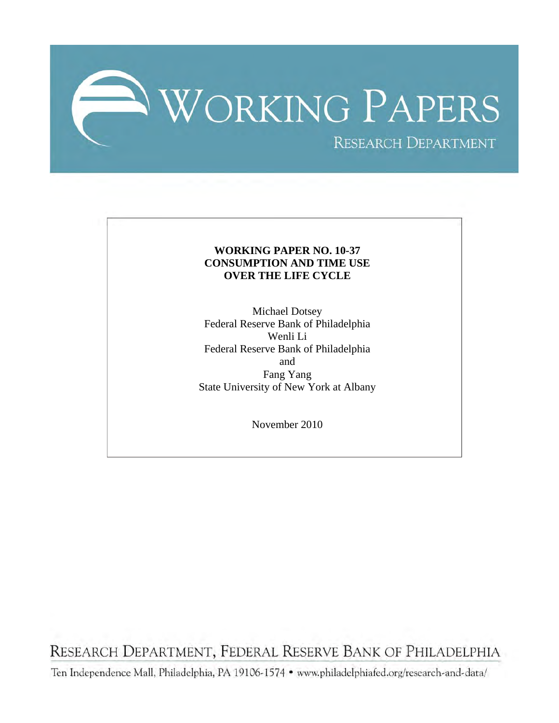

## **WORKING PAPER NO. 10-37 CONSUMPTION AND TIME USE OVER THE LIFE CYCLE**

Michael Dotsey Federal Reserve Bank of Philadelphia Wenli Li Federal Reserve Bank of Philadelphia and Fang Yang State University of New York at Albany

November 2010

RESEARCH DEPARTMENT, FEDERAL RESERVE BANK OF PHILADELPHIA

Ten Independence Mall, Philadelphia, PA 19106-1574 · www.philadelphiafed.org/research-and-data/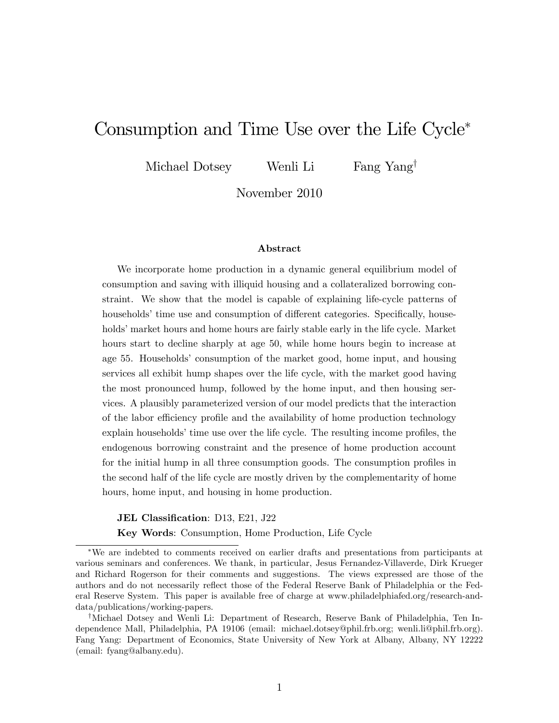# Consumption and Time Use over the Life Cycle

Michael Dotsey Wenli Li Fang Yang<sup>†</sup>

November 2010

#### Abstract

We incorporate home production in a dynamic general equilibrium model of consumption and saving with illiquid housing and a collateralized borrowing constraint. We show that the model is capable of explaining life-cycle patterns of households' time use and consumption of different categories. Specifically, households' market hours and home hours are fairly stable early in the life cycle. Market hours start to decline sharply at age 50, while home hours begin to increase at age 55. Households' consumption of the market good, home input, and housing services all exhibit hump shapes over the life cycle, with the market good having the most pronounced hump, followed by the home input, and then housing services. A plausibly parameterized version of our model predicts that the interaction of the labor efficiency profile and the availability of home production technology explain households' time use over the life cycle. The resulting income profiles, the endogenous borrowing constraint and the presence of home production account for the initial hump in all three consumption goods. The consumption profiles in the second half of the life cycle are mostly driven by the complementarity of home hours, home input, and housing in home production.

JEL Classification: D13, E21, J22

Key Words: Consumption, Home Production, Life Cycle

We are indebted to comments received on earlier drafts and presentations from participants at various seminars and conferences. We thank, in particular, Jesus Fernandez-Villaverde, Dirk Krueger and Richard Rogerson for their comments and suggestions. The views expressed are those of the authors and do not necessarily reflect those of the Federal Reserve Bank of Philadelphia or the Federal Reserve System. This paper is available free of charge at www.philadelphiafed.org/research-anddata/publications/working-papers.

<sup>&</sup>lt;sup>†</sup>Michael Dotsey and Wenli Li: Department of Research, Reserve Bank of Philadelphia, Ten Independence Mall, Philadelphia, PA 19106 (email: michael.dotsey@phil.frb.org; wenli.li@phil.frb.org). Fang Yang: Department of Economics, State University of New York at Albany, Albany, NY 12222 (email: fyang@albany.edu).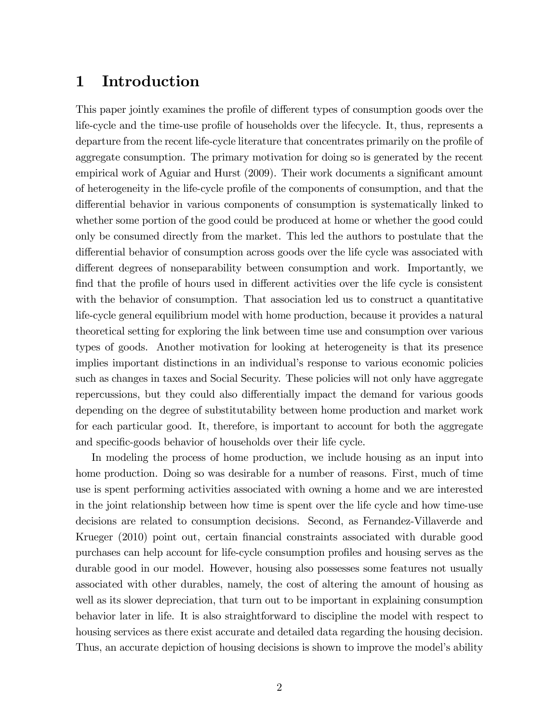# 1 Introduction

This paper jointly examines the profile of different types of consumption goods over the life-cycle and the time-use profile of households over the lifecycle. It, thus, represents a departure from the recent life-cycle literature that concentrates primarily on the profile of aggregate consumption. The primary motivation for doing so is generated by the recent empirical work of Aguiar and Hurst (2009). Their work documents a significant amount of heterogeneity in the life-cycle proÖle of the components of consumption, and that the differential behavior in various components of consumption is systematically linked to whether some portion of the good could be produced at home or whether the good could only be consumed directly from the market. This led the authors to postulate that the differential behavior of consumption across goods over the life cycle was associated with different degrees of nonseparability between consumption and work. Importantly, we find that the profile of hours used in different activities over the life cycle is consistent with the behavior of consumption. That association led us to construct a quantitative life-cycle general equilibrium model with home production, because it provides a natural theoretical setting for exploring the link between time use and consumption over various types of goods. Another motivation for looking at heterogeneity is that its presence implies important distinctions in an individual's response to various economic policies such as changes in taxes and Social Security. These policies will not only have aggregate repercussions, but they could also differentially impact the demand for various goods depending on the degree of substitutability between home production and market work for each particular good. It, therefore, is important to account for both the aggregate and specific-goods behavior of households over their life cycle.

In modeling the process of home production, we include housing as an input into home production. Doing so was desirable for a number of reasons. First, much of time use is spent performing activities associated with owning a home and we are interested in the joint relationship between how time is spent over the life cycle and how time-use decisions are related to consumption decisions. Second, as Fernandez-Villaverde and Krueger (2010) point out, certain financial constraints associated with durable good purchases can help account for life-cycle consumption profiles and housing serves as the durable good in our model. However, housing also possesses some features not usually associated with other durables, namely, the cost of altering the amount of housing as well as its slower depreciation, that turn out to be important in explaining consumption behavior later in life. It is also straightforward to discipline the model with respect to housing services as there exist accurate and detailed data regarding the housing decision. Thus, an accurate depiction of housing decisions is shown to improve the model's ability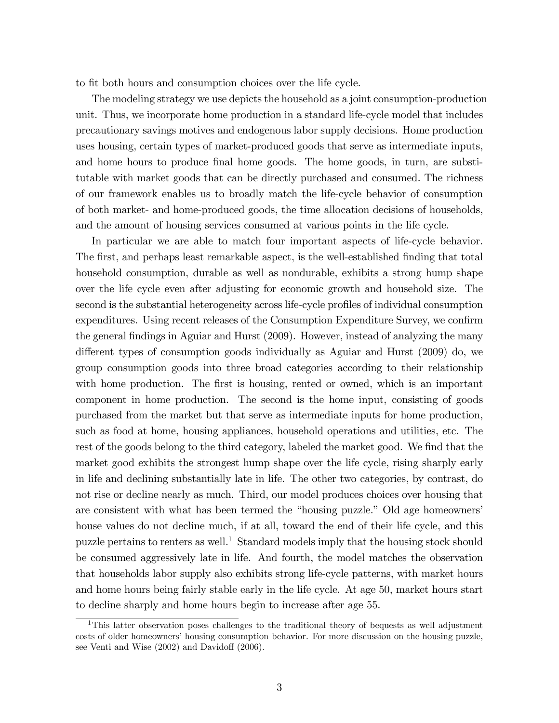to fit both hours and consumption choices over the life cycle.

The modeling strategy we use depicts the household as a joint consumption-production unit. Thus, we incorporate home production in a standard life-cycle model that includes precautionary savings motives and endogenous labor supply decisions. Home production uses housing, certain types of market-produced goods that serve as intermediate inputs, and home hours to produce final home goods. The home goods, in turn, are substitutable with market goods that can be directly purchased and consumed. The richness of our framework enables us to broadly match the life-cycle behavior of consumption of both market- and home-produced goods, the time allocation decisions of households, and the amount of housing services consumed at various points in the life cycle.

In particular we are able to match four important aspects of life-cycle behavior. The first, and perhaps least remarkable aspect, is the well-established finding that total household consumption, durable as well as nondurable, exhibits a strong hump shape over the life cycle even after adjusting for economic growth and household size. The second is the substantial heterogeneity across life-cycle profiles of individual consumption expenditures. Using recent releases of the Consumption Expenditure Survey, we confirm the general findings in Aguiar and Hurst (2009). However, instead of analyzing the many different types of consumption goods individually as Aguiar and Hurst  $(2009)$  do, we group consumption goods into three broad categories according to their relationship with home production. The first is housing, rented or owned, which is an important component in home production. The second is the home input, consisting of goods purchased from the market but that serve as intermediate inputs for home production, such as food at home, housing appliances, household operations and utilities, etc. The rest of the goods belong to the third category, labeled the market good. We find that the market good exhibits the strongest hump shape over the life cycle, rising sharply early in life and declining substantially late in life. The other two categories, by contrast, do not rise or decline nearly as much. Third, our model produces choices over housing that are consistent with what has been termed the "housing puzzle." Old age homeowners' house values do not decline much, if at all, toward the end of their life cycle, and this puzzle pertains to renters as well.<sup>1</sup> Standard models imply that the housing stock should be consumed aggressively late in life. And fourth, the model matches the observation that households labor supply also exhibits strong life-cycle patterns, with market hours and home hours being fairly stable early in the life cycle. At age 50, market hours start to decline sharply and home hours begin to increase after age 55.

<sup>&</sup>lt;sup>1</sup>This latter observation poses challenges to the traditional theory of bequests as well adjustment costs of older homeowners' housing consumption behavior. For more discussion on the housing puzzle, see Venti and Wise  $(2002)$  and Davidoff  $(2006)$ .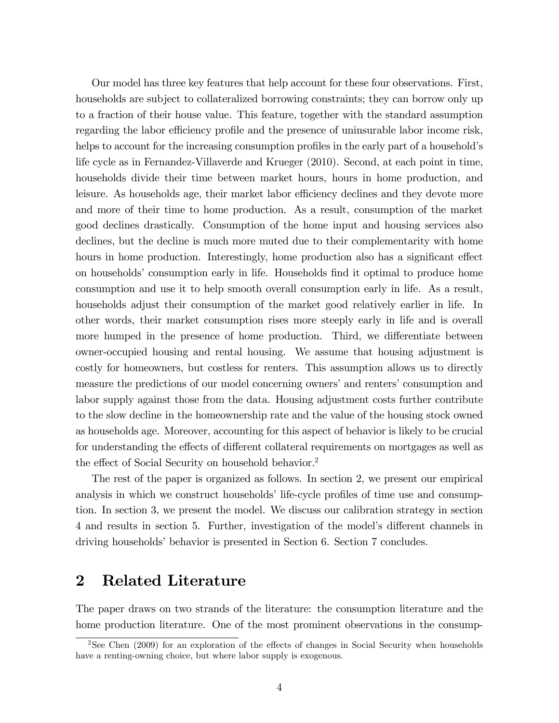Our model has three key features that help account for these four observations. First, households are subject to collateralized borrowing constraints; they can borrow only up to a fraction of their house value. This feature, together with the standard assumption regarding the labor efficiency profile and the presence of uninsurable labor income risk, helps to account for the increasing consumption profiles in the early part of a household's life cycle as in Fernandez-Villaverde and Krueger (2010). Second, at each point in time, households divide their time between market hours, hours in home production, and leisure. As households age, their market labor efficiency declines and they devote more and more of their time to home production. As a result, consumption of the market good declines drastically. Consumption of the home input and housing services also declines, but the decline is much more muted due to their complementarity with home hours in home production. Interestingly, home production also has a significant effect on households' consumption early in life. Households find it optimal to produce home consumption and use it to help smooth overall consumption early in life. As a result, households adjust their consumption of the market good relatively earlier in life. In other words, their market consumption rises more steeply early in life and is overall more humped in the presence of home production. Third, we differentiate between owner-occupied housing and rental housing. We assume that housing adjustment is costly for homeowners, but costless for renters. This assumption allows us to directly measure the predictions of our model concerning owners' and renters' consumption and labor supply against those from the data. Housing adjustment costs further contribute to the slow decline in the homeownership rate and the value of the housing stock owned as households age. Moreover, accounting for this aspect of behavior is likely to be crucial for understanding the effects of different collateral requirements on mortgages as well as the effect of Social Security on household behavior.<sup>2</sup>

The rest of the paper is organized as follows. In section 2, we present our empirical analysis in which we construct households' life-cycle profiles of time use and consumption. In section 3, we present the model. We discuss our calibration strategy in section 4 and results in section 5. Further, investigation of the model's different channels in driving households' behavior is presented in Section 6. Section 7 concludes.

## 2 Related Literature

The paper draws on two strands of the literature: the consumption literature and the home production literature. One of the most prominent observations in the consump-

<sup>&</sup>lt;sup>2</sup>See Chen (2009) for an exploration of the effects of changes in Social Security when households have a renting-owning choice, but where labor supply is exogenous.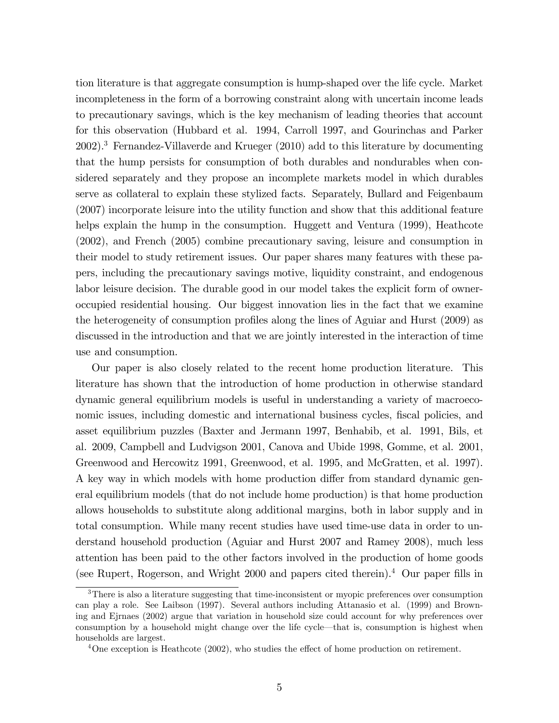tion literature is that aggregate consumption is hump-shaped over the life cycle. Market incompleteness in the form of a borrowing constraint along with uncertain income leads to precautionary savings, which is the key mechanism of leading theories that account for this observation (Hubbard et al. 1994, Carroll 1997, and Gourinchas and Parker 2002).<sup>3</sup> Fernandez-Villaverde and Krueger (2010) add to this literature by documenting that the hump persists for consumption of both durables and nondurables when considered separately and they propose an incomplete markets model in which durables serve as collateral to explain these stylized facts. Separately, Bullard and Feigenbaum (2007) incorporate leisure into the utility function and show that this additional feature helps explain the hump in the consumption. Huggett and Ventura (1999), Heathcote (2002), and French (2005) combine precautionary saving, leisure and consumption in their model to study retirement issues. Our paper shares many features with these papers, including the precautionary savings motive, liquidity constraint, and endogenous labor leisure decision. The durable good in our model takes the explicit form of owneroccupied residential housing. Our biggest innovation lies in the fact that we examine the heterogeneity of consumption profiles along the lines of Aguiar and Hurst (2009) as discussed in the introduction and that we are jointly interested in the interaction of time use and consumption.

Our paper is also closely related to the recent home production literature. This literature has shown that the introduction of home production in otherwise standard dynamic general equilibrium models is useful in understanding a variety of macroeconomic issues, including domestic and international business cycles, fiscal policies, and asset equilibrium puzzles (Baxter and Jermann 1997, Benhabib, et al. 1991, Bils, et al. 2009, Campbell and Ludvigson 2001, Canova and Ubide 1998, Gomme, et al. 2001, Greenwood and Hercowitz 1991, Greenwood, et al. 1995, and McGratten, et al. 1997). A key way in which models with home production differ from standard dynamic general equilibrium models (that do not include home production) is that home production allows households to substitute along additional margins, both in labor supply and in total consumption. While many recent studies have used time-use data in order to understand household production (Aguiar and Hurst 2007 and Ramey 2008), much less attention has been paid to the other factors involved in the production of home goods (see Rupert, Rogerson, and Wright  $2000$  and papers cited therein).<sup>4</sup> Our paper fills in

<sup>&</sup>lt;sup>3</sup>There is also a literature suggesting that time-inconsistent or myopic preferences over consumption can play a role. See Laibson (1997). Several authors including Attanasio et al. (1999) and Browning and Ejrnaes (2002) argue that variation in household size could account for why preferences over consumption by a household might change over the life cycle—that is, consumption is highest when households are largest.

 $4$ One exception is Heathcote (2002), who studies the effect of home production on retirement.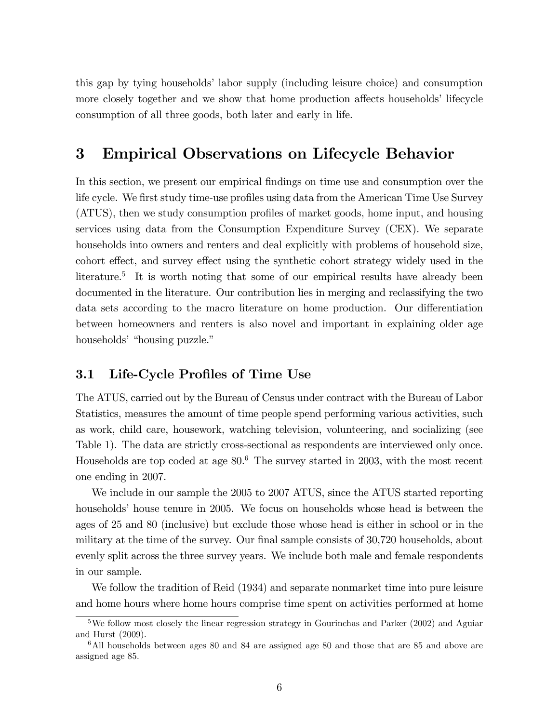this gap by tying households' labor supply (including leisure choice) and consumption more closely together and we show that home production affects households' lifecycle consumption of all three goods, both later and early in life.

## 3 Empirical Observations on Lifecycle Behavior

In this section, we present our empirical findings on time use and consumption over the life cycle. We first study time-use profiles using data from the American Time Use Survey (ATUS), then we study consumption profiles of market goods, home input, and housing services using data from the Consumption Expenditure Survey (CEX). We separate households into owners and renters and deal explicitly with problems of household size, cohort effect, and survey effect using the synthetic cohort strategy widely used in the literature.<sup>5</sup> It is worth noting that some of our empirical results have already been documented in the literature. Our contribution lies in merging and reclassifying the two data sets according to the macro literature on home production. Our differentiation between homeowners and renters is also novel and important in explaining older age households<sup>'</sup> "housing puzzle."

### 3.1 Life-Cycle Profiles of Time Use

The ATUS, carried out by the Bureau of Census under contract with the Bureau of Labor Statistics, measures the amount of time people spend performing various activities, such as work, child care, housework, watching television, volunteering, and socializing (see Table 1). The data are strictly cross-sectional as respondents are interviewed only once. Households are top coded at age  $80<sup>6</sup>$ . The survey started in 2003, with the most recent one ending in 2007.

We include in our sample the 2005 to 2007 ATUS, since the ATUS started reporting households house tenure in 2005. We focus on households whose head is between the ages of 25 and 80 (inclusive) but exclude those whose head is either in school or in the military at the time of the survey. Our final sample consists of 30,720 households, about evenly split across the three survey years. We include both male and female respondents in our sample.

We follow the tradition of Reid (1934) and separate nonmarket time into pure leisure and home hours where home hours comprise time spent on activities performed at home

<sup>&</sup>lt;sup>5</sup>We follow most closely the linear regression strategy in Gourinchas and Parker (2002) and Aguiar and Hurst (2009).

 $6$ All households between ages 80 and 84 are assigned age 80 and those that are 85 and above are assigned age 85.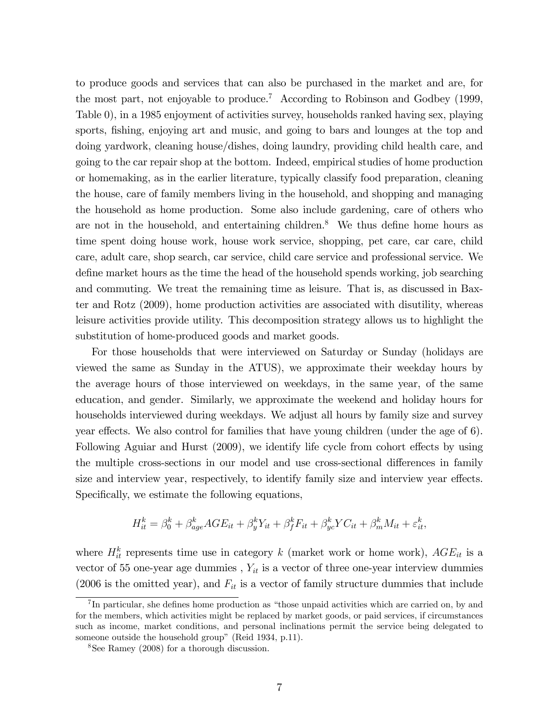to produce goods and services that can also be purchased in the market and are, for the most part, not enjoyable to produce.<sup>7</sup> According to Robinson and Godbey (1999, Table 0), in a 1985 enjoyment of activities survey, households ranked having sex, playing sports, fishing, enjoying art and music, and going to bars and lounges at the top and doing yardwork, cleaning house/dishes, doing laundry, providing child health care, and going to the car repair shop at the bottom. Indeed, empirical studies of home production or homemaking, as in the earlier literature, typically classify food preparation, cleaning the house, care of family members living in the household, and shopping and managing the household as home production. Some also include gardening, care of others who are not in the household, and entertaining children.<sup>8</sup> We thus define home hours as time spent doing house work, house work service, shopping, pet care, car care, child care, adult care, shop search, car service, child care service and professional service. We define market hours as the time the head of the household spends working, job searching and commuting. We treat the remaining time as leisure. That is, as discussed in Baxter and Rotz (2009), home production activities are associated with disutility, whereas leisure activities provide utility. This decomposition strategy allows us to highlight the substitution of home-produced goods and market goods.

For those households that were interviewed on Saturday or Sunday (holidays are viewed the same as Sunday in the ATUS), we approximate their weekday hours by the average hours of those interviewed on weekdays, in the same year, of the same education, and gender. Similarly, we approximate the weekend and holiday hours for households interviewed during weekdays. We adjust all hours by family size and survey year effects. We also control for families that have young children (under the age of  $6$ ). Following Aguiar and Hurst  $(2009)$ , we identify life cycle from cohort effects by using the multiple cross-sections in our model and use cross-sectional differences in family size and interview year, respectively, to identify family size and interview year effects. Specifically, we estimate the following equations,

$$
H_{it}^k = \beta_0^k + \beta_{age}^k AGE_{it} + \beta_y^k Y_{it} + \beta_f^k F_{it} + \beta_{yc}^k Y C_{it} + \beta_m^k M_{it} + \varepsilon_{it}^k,
$$

where  $H_{it}^k$  represents time use in category k (market work or home work),  $AGE_{it}$  is a vector of 55 one-year age dummies,  $Y_{it}$  is a vector of three one-year interview dummies (2006 is the omitted year), and  $F_{it}$  is a vector of family structure dummies that include

 ${}^{7}$ In particular, she defines home production as "those unpaid activities which are carried on, by and for the members, which activities might be replaced by market goods, or paid services, if circumstances such as income, market conditions, and personal inclinations permit the service being delegated to someone outside the household group" (Reid 1934, p.11).

<sup>8</sup>See Ramey (2008) for a thorough discussion.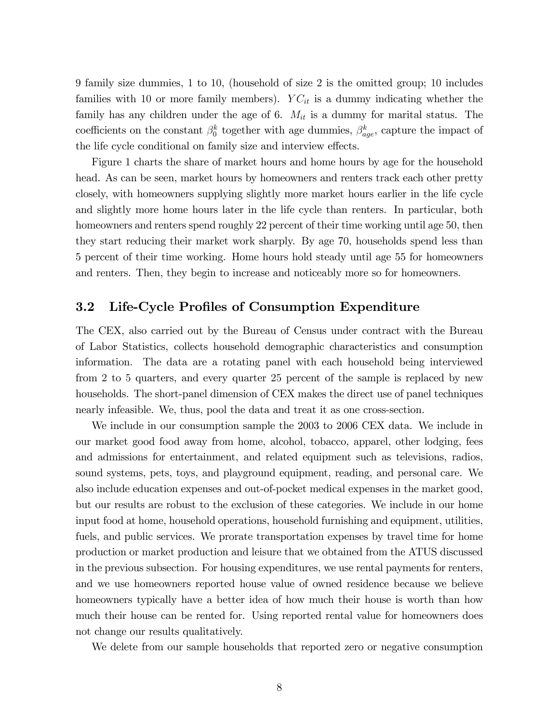9 family size dummies, 1 to 10, (household of size 2 is the omitted group; 10 includes families with 10 or more family members).  $YC_{it}$  is a dummy indicating whether the family has any children under the age of 6.  $M_{it}$  is a dummy for marital status. The coefficients on the constant  $\beta_0^k$  together with age dummies,  $\beta_{age}^k$ , capture the impact of the life cycle conditional on family size and interview effects.

Figure 1 charts the share of market hours and home hours by age for the household head. As can be seen, market hours by homeowners and renters track each other pretty closely, with homeowners supplying slightly more market hours earlier in the life cycle and slightly more home hours later in the life cycle than renters. In particular, both homeowners and renters spend roughly 22 percent of their time working until age 50, then they start reducing their market work sharply. By age 70, households spend less than 5 percent of their time working. Home hours hold steady until age 55 for homeowners and renters. Then, they begin to increase and noticeably more so for homeowners.

## 3.2 Life-Cycle Profiles of Consumption Expenditure

The CEX, also carried out by the Bureau of Census under contract with the Bureau of Labor Statistics, collects household demographic characteristics and consumption information. The data are a rotating panel with each household being interviewed from 2 to 5 quarters, and every quarter 25 percent of the sample is replaced by new households. The short-panel dimension of CEX makes the direct use of panel techniques nearly infeasible. We, thus, pool the data and treat it as one cross-section.

We include in our consumption sample the 2003 to 2006 CEX data. We include in our market good food away from home, alcohol, tobacco, apparel, other lodging, fees and admissions for entertainment, and related equipment such as televisions, radios, sound systems, pets, toys, and playground equipment, reading, and personal care. We also include education expenses and out-of-pocket medical expenses in the market good, but our results are robust to the exclusion of these categories. We include in our home input food at home, household operations, household furnishing and equipment, utilities, fuels, and public services. We prorate transportation expenses by travel time for home production or market production and leisure that we obtained from the ATUS discussed in the previous subsection. For housing expenditures, we use rental payments for renters, and we use homeowners reported house value of owned residence because we believe homeowners typically have a better idea of how much their house is worth than how much their house can be rented for. Using reported rental value for homeowners does not change our results qualitatively.

We delete from our sample households that reported zero or negative consumption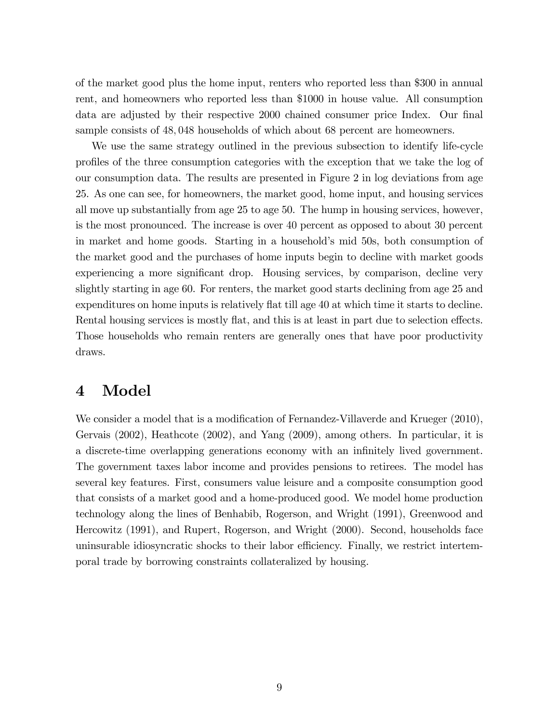of the market good plus the home input, renters who reported less than \$300 in annual rent, and homeowners who reported less than \$1000 in house value. All consumption data are adjusted by their respective 2000 chained consumer price Index. Our final sample consists of 48,048 households of which about 68 percent are homeowners.

We use the same strategy outlined in the previous subsection to identify life-cycle proÖles of the three consumption categories with the exception that we take the log of our consumption data. The results are presented in Figure 2 in log deviations from age 25. As one can see, for homeowners, the market good, home input, and housing services all move up substantially from age 25 to age 50. The hump in housing services, however, is the most pronounced. The increase is over 40 percent as opposed to about 30 percent in market and home goods. Starting in a household's mid 50s, both consumption of the market good and the purchases of home inputs begin to decline with market goods experiencing a more significant drop. Housing services, by comparison, decline very slightly starting in age 60. For renters, the market good starts declining from age 25 and expenditures on home inputs is relatively flat till age 40 at which time it starts to decline. Rental housing services is mostly flat, and this is at least in part due to selection effects. Those households who remain renters are generally ones that have poor productivity draws.

## 4 Model

We consider a model that is a modification of Fernandez-Villaverde and Krueger (2010), Gervais (2002), Heathcote (2002), and Yang (2009), among others. In particular, it is a discrete-time overlapping generations economy with an infinitely lived government. The government taxes labor income and provides pensions to retirees. The model has several key features. First, consumers value leisure and a composite consumption good that consists of a market good and a home-produced good. We model home production technology along the lines of Benhabib, Rogerson, and Wright (1991), Greenwood and Hercowitz (1991), and Rupert, Rogerson, and Wright (2000). Second, households face uninsurable idiosyncratic shocks to their labor efficiency. Finally, we restrict intertemporal trade by borrowing constraints collateralized by housing.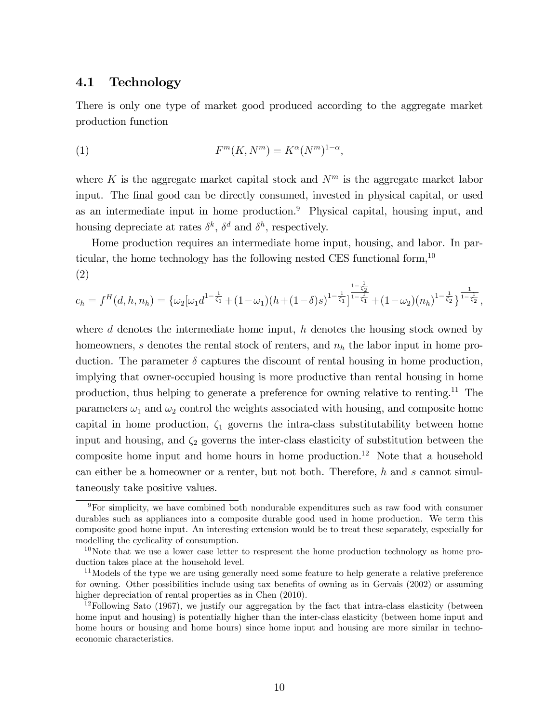### 4.1 Technology

There is only one type of market good produced according to the aggregate market production function

$$
(1) \tFm(K, Nm) = K\alpha(Nm)1-\alpha,
$$

where K is the aggregate market capital stock and  $N<sup>m</sup>$  is the aggregate market labor input. The final good can be directly consumed, invested in physical capital, or used as an intermediate input in home production.<sup>9</sup> Physical capital, housing input, and housing depreciate at rates  $\delta^k$ ,  $\delta^d$  and  $\delta^h$ , respectively.

Home production requires an intermediate home input, housing, and labor. In particular, the home technology has the following nested CES functional form,  $10$ (2)

$$
c_h = f^H(d, h, n_h) = \left\{ \omega_2 [\omega_1 d^{1 - \frac{1}{\zeta_1}} + (1 - \omega_1)(h + (1 - \delta)s)^{1 - \frac{1}{\zeta_1}}]^{1 - \frac{1}{\zeta_2}} + (1 - \omega_2)(n_h)^{1 - \frac{1}{\zeta_2}} \right\}^{\frac{1}{1 - \frac{1}{\zeta_2}}},
$$

where d denotes the intermediate home input,  $h$  denotes the housing stock owned by homeowners, s denotes the rental stock of renters, and  $n<sub>h</sub>$  the labor input in home production. The parameter  $\delta$  captures the discount of rental housing in home production, implying that owner-occupied housing is more productive than rental housing in home production, thus helping to generate a preference for owning relative to renting.<sup>11</sup> The parameters  $\omega_1$  and  $\omega_2$  control the weights associated with housing, and composite home capital in home production,  $\zeta_1$  governs the intra-class substitutability between home input and housing, and  $\zeta_2$  governs the inter-class elasticity of substitution between the composite home input and home hours in home production.<sup>12</sup> Note that a household can either be a homeowner or a renter, but not both. Therefore, h and s cannot simultaneously take positive values.

 $9$ For simplicity, we have combined both nondurable expenditures such as raw food with consumer durables such as appliances into a composite durable good used in home production. We term this composite good home input. An interesting extension would be to treat these separately, especially for modelling the cyclicality of consumption.

 $10$ Note that we use a lower case letter to respresent the home production technology as home production takes place at the household level.

<sup>&</sup>lt;sup>11</sup>Models of the type we are using generally need some feature to help generate a relative preference for owning. Other possibilities include using tax benefits of owning as in Gervais (2002) or assuming higher depreciation of rental properties as in Chen  $(2010)$ .

 $12$ Following Sato (1967), we justify our aggregation by the fact that intra-class elasticity (between home input and housing) is potentially higher than the inter-class elasticity (between home input and home hours or housing and home hours) since home input and housing are more similar in technoeconomic characteristics.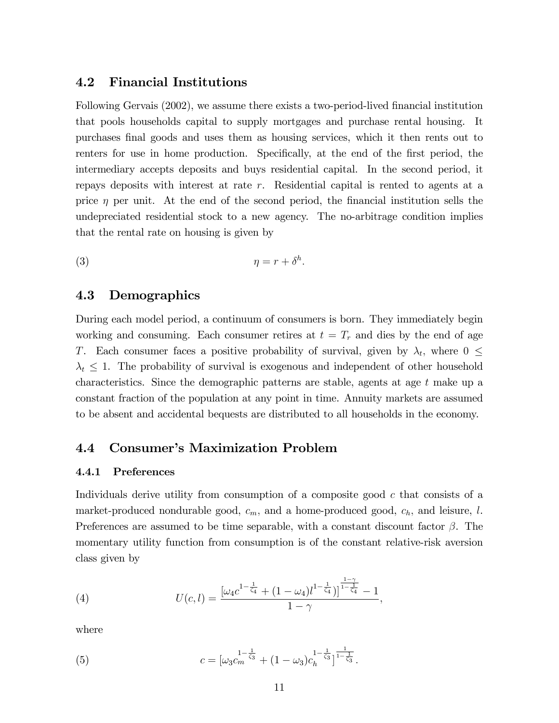### 4.2 Financial Institutions

Following Gervais (2002), we assume there exists a two-period-lived financial institution that pools households capital to supply mortgages and purchase rental housing. It purchases Önal goods and uses them as housing services, which it then rents out to renters for use in home production. Specifically, at the end of the first period, the intermediary accepts deposits and buys residential capital. In the second period, it repays deposits with interest at rate  $r$ . Residential capital is rented to agents at a price  $\eta$  per unit. At the end of the second period, the financial institution sells the undepreciated residential stock to a new agency. The no-arbitrage condition implies that the rental rate on housing is given by

$$
\eta = r + \delta^h.
$$

### 4.3 Demographics

During each model period, a continuum of consumers is born. They immediately begin working and consuming. Each consumer retires at  $t = T_r$  and dies by the end of age T. Each consumer faces a positive probability of survival, given by  $\lambda_t$ , where  $0 \leq$  $\lambda_t \leq 1$ . The probability of survival is exogenous and independent of other household characteristics. Since the demographic patterns are stable, agents at age t make up a constant fraction of the population at any point in time. Annuity markets are assumed to be absent and accidental bequests are distributed to all households in the economy.

## 4.4 Consumer's Maximization Problem

#### 4.4.1 Preferences

Individuals derive utility from consumption of a composite good  $c$  that consists of a market-produced nondurable good,  $c_m$ , and a home-produced good,  $c_h$ , and leisure, l. Preferences are assumed to be time separable, with a constant discount factor  $\beta$ . The momentary utility function from consumption is of the constant relative-risk aversion class given by

(4) 
$$
U(c, l) = \frac{\left[\omega_4 c^{1 - \frac{1}{\zeta_4}} + (1 - \omega_4) l^{1 - \frac{1}{\zeta_4}}\right]^{\frac{1 - \gamma}{1 - \frac{1}{\zeta_4}}} - 1}{1 - \gamma},
$$

where

(5) 
$$
c = [\omega_3 c_m^{\frac{1-\frac{1}{\zeta_3}}{\zeta_3}} + (1-\omega_3)c_h^{\frac{1-\frac{1}{\zeta_3}}{\zeta_3}}]^{-\frac{1}{1-\frac{1}{\zeta_3}}}.
$$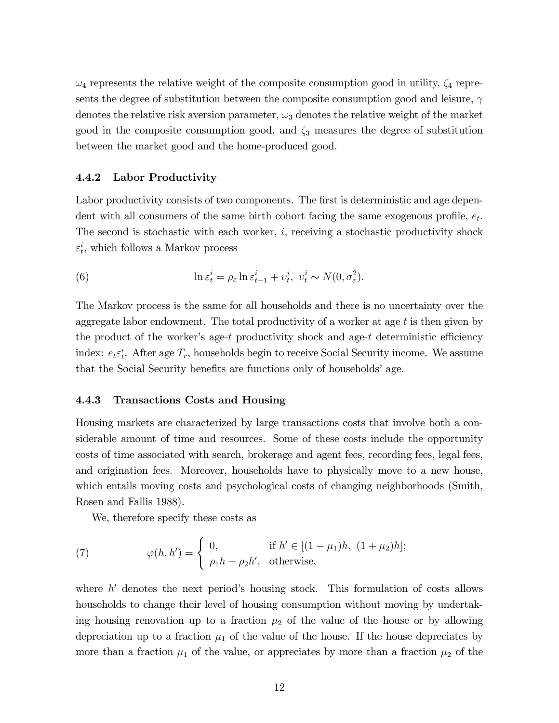$\omega_4$  represents the relative weight of the composite consumption good in utility,  $\zeta_4$  represents the degree of substitution between the composite consumption good and leisure,  $\gamma$ denotes the relative risk aversion parameter,  $\omega_3$  denotes the relative weight of the market good in the composite consumption good, and  $\zeta_3$  measures the degree of substitution between the market good and the home-produced good.

#### 4.4.2 Labor Productivity

Labor productivity consists of two components. The first is deterministic and age dependent with all consumers of the same birth cohort facing the same exogenous profile,  $e_t$ . The second is stochastic with each worker, i; receiving a stochastic productivity shock  $\varepsilon_t^i$ , which follows a Markov process

(6) 
$$
\ln \varepsilon_t^i = \rho_\varepsilon \ln \varepsilon_{t-1}^i + v_t^i, \quad v_t^i \sim N(0, \sigma_\varepsilon^2).
$$

The Markov process is the same for all households and there is no uncertainty over the aggregate labor endowment. The total productivity of a worker at age t is then given by the product of the worker's age-t productivity shock and age-t deterministic efficiency index:  $e_t \varepsilon_t^i$ . After age  $T_r$ , households begin to receive Social Security income. We assume that the Social Security benefits are functions only of households' age.

#### 4.4.3 Transactions Costs and Housing

Housing markets are characterized by large transactions costs that involve both a considerable amount of time and resources. Some of these costs include the opportunity costs of time associated with search, brokerage and agent fees, recording fees, legal fees, and origination fees. Moreover, households have to physically move to a new house, which entails moving costs and psychological costs of changing neighborhoods (Smith, Rosen and Fallis 1988).

We, therefore specify these costs as

(7) 
$$
\varphi(h, h') = \begin{cases} 0, & \text{if } h' \in [(1 - \mu_1)h, (1 + \mu_2)h]; \\ \rho_1 h + \rho_2 h', & \text{otherwise,} \end{cases}
$$

where  $h'$  denotes the next period's housing stock. This formulation of costs allows households to change their level of housing consumption without moving by undertaking housing renovation up to a fraction  $\mu_2$  of the value of the house or by allowing depreciation up to a fraction  $\mu_1$  of the value of the house. If the house depreciates by more than a fraction  $\mu_1$  of the value, or appreciates by more than a fraction  $\mu_2$  of the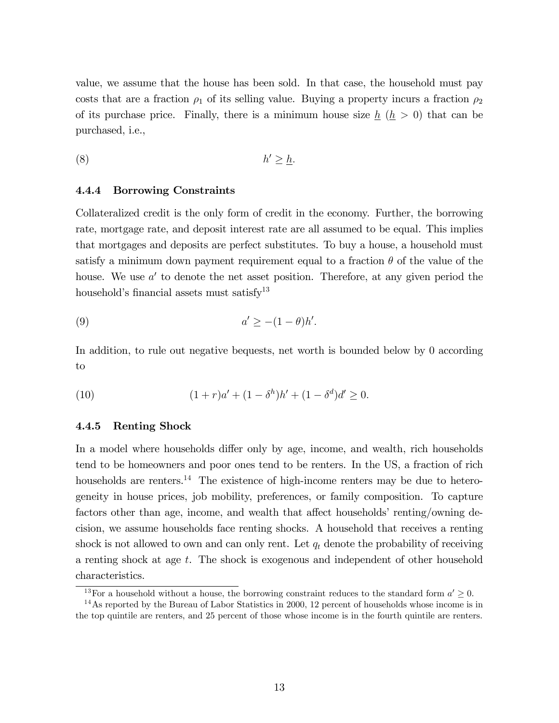value, we assume that the house has been sold. In that case, the household must pay costs that are a fraction  $\rho_1$  of its selling value. Buying a property incurs a fraction  $\rho_2$ of its purchase price. Finally, there is a minimum house size  $h(h > 0)$  that can be purchased, i.e.,

$$
(8) \t\t\t h' \geq \underline{h}.
$$

#### 4.4.4 Borrowing Constraints

Collateralized credit is the only form of credit in the economy. Further, the borrowing rate, mortgage rate, and deposit interest rate are all assumed to be equal. This implies that mortgages and deposits are perfect substitutes. To buy a house, a household must satisfy a minimum down payment requirement equal to a fraction  $\theta$  of the value of the house. We use  $a'$  to denote the net asset position. Therefore, at any given period the household's financial assets must satisfy<sup>13</sup>

$$
(9) \t a' \ge -(1-\theta)h'.
$$

In addition, to rule out negative bequests, net worth is bounded below by 0 according to

(10) 
$$
(1+r)a' + (1-\delta^h)h' + (1-\delta^d)d' \geq 0.
$$

#### 4.4.5 Renting Shock

In a model where households differ only by age, income, and wealth, rich households tend to be homeowners and poor ones tend to be renters. In the US, a fraction of rich households are renters.<sup>14</sup> The existence of high-income renters may be due to heterogeneity in house prices, job mobility, preferences, or family composition. To capture factors other than age, income, and wealth that affect households' renting/owning decision, we assume households face renting shocks. A household that receives a renting shock is not allowed to own and can only rent. Let  $q_t$  denote the probability of receiving a renting shock at age t. The shock is exogenous and independent of other household characteristics.

<sup>&</sup>lt;sup>13</sup>For a household without a house, the borrowing constraint reduces to the standard form  $a' \geq 0$ .

<sup>&</sup>lt;sup>14</sup>As reported by the Bureau of Labor Statistics in 2000, 12 percent of households whose income is in the top quintile are renters, and 25 percent of those whose income is in the fourth quintile are renters.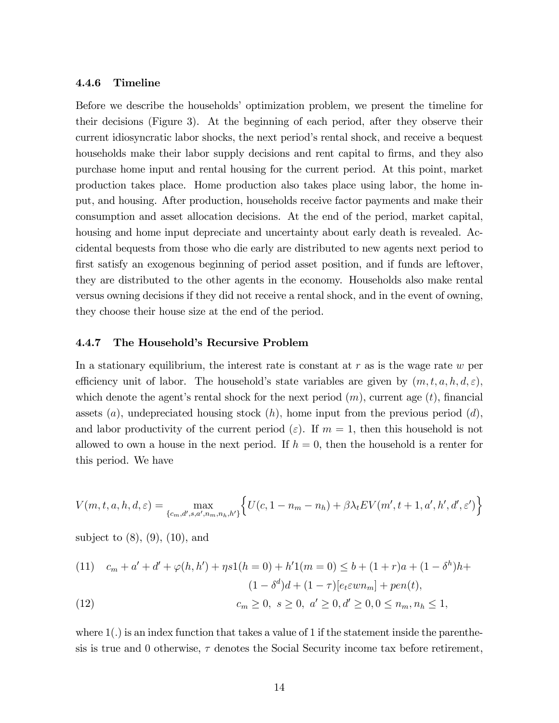#### 4.4.6 Timeline

Before we describe the households' optimization problem, we present the timeline for their decisions (Figure 3). At the beginning of each period, after they observe their current idiosyncratic labor shocks, the next period's rental shock, and receive a bequest households make their labor supply decisions and rent capital to firms, and they also purchase home input and rental housing for the current period. At this point, market production takes place. Home production also takes place using labor, the home input, and housing. After production, households receive factor payments and make their consumption and asset allocation decisions. At the end of the period, market capital, housing and home input depreciate and uncertainty about early death is revealed. Accidental bequests from those who die early are distributed to new agents next period to first satisfy an exogenous beginning of period asset position, and if funds are leftover, they are distributed to the other agents in the economy. Households also make rental versus owning decisions if they did not receive a rental shock, and in the event of owning, they choose their house size at the end of the period.

#### 4.4.7 The Household's Recursive Problem

In a stationary equilibrium, the interest rate is constant at  $r$  as is the wage rate  $w$  per efficiency unit of labor. The household's state variables are given by  $(m, t, a, h, d, \varepsilon)$ , which denote the agent's rental shock for the next period  $(m)$ , current age  $(t)$ , financial assets  $(a)$ , undepreciated housing stock  $(h)$ , home input from the previous period  $(d)$ , and labor productivity of the current period ( $\varepsilon$ ). If  $m = 1$ , then this household is not allowed to own a house in the next period. If  $h = 0$ , then the household is a renter for this period. We have

$$
V(m, t, a, h, d, \varepsilon) = \max_{\{c_m, d', s, a', n_m, n_h, h'\}} \left\{ U(c, 1 - n_m - n_h) + \beta \lambda_t E V(m', t + 1, a', h', d', \varepsilon') \right\}
$$

subject to  $(8)$ ,  $(9)$ ,  $(10)$ , and

(11) 
$$
c_m + a' + d' + \varphi(h, h') + \eta s 1(h = 0) + h' 1(m = 0) \leq b + (1 + r)a + (1 - \delta^h)h + (1 - \delta^h) d + (1 - \tau)[e_t \varepsilon w n_m] + \rho e n(t),
$$

(12) 
$$
c_m \ge 0, \ s \ge 0, \ a' \ge 0, d' \ge 0, 0 \le n_m, n_h \le 1,
$$

where  $1(.)$  is an index function that takes a value of 1 if the statement inside the parenthesis is true and 0 otherwise,  $\tau$  denotes the Social Security income tax before retirement,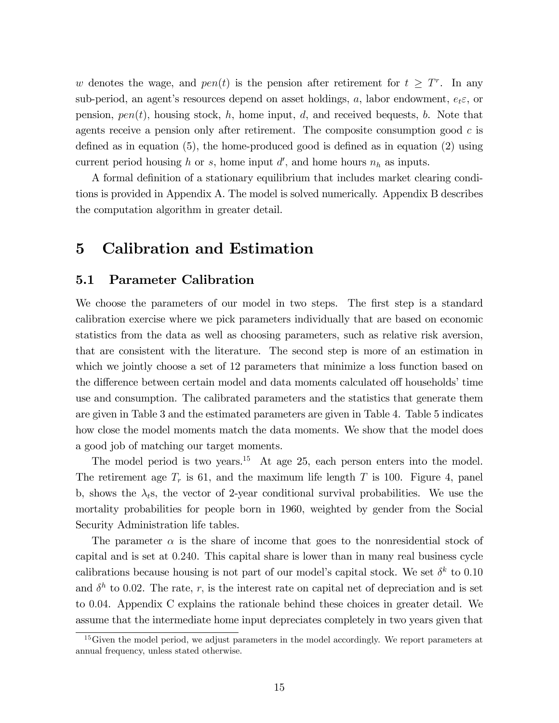w denotes the wage, and  $pen(t)$  is the pension after retirement for  $t \geq T^r$ . In any sub-period, an agent's resources depend on asset holdings, a, labor endowment,  $e_t \varepsilon$ , or pension,  $pen(t)$ , housing stock, h, home input, d, and received bequests, b. Note that agents receive a pension only after retirement. The composite consumption good  $c$  is defined as in equation  $(5)$ , the home-produced good is defined as in equation  $(2)$  using current period housing h or s, home input  $d'$ , and home hours  $n_h$  as inputs.

A formal definition of a stationary equilibrium that includes market clearing conditions is provided in Appendix A. The model is solved numerically. Appendix B describes the computation algorithm in greater detail.

## 5 Calibration and Estimation

### 5.1 Parameter Calibration

We choose the parameters of our model in two steps. The first step is a standard calibration exercise where we pick parameters individually that are based on economic statistics from the data as well as choosing parameters, such as relative risk aversion, that are consistent with the literature. The second step is more of an estimation in which we jointly choose a set of 12 parameters that minimize a loss function based on the difference between certain model and data moments calculated off households' time use and consumption. The calibrated parameters and the statistics that generate them are given in Table 3 and the estimated parameters are given in Table 4. Table 5 indicates how close the model moments match the data moments. We show that the model does a good job of matching our target moments.

The model period is two years.<sup>15</sup> At age 25, each person enters into the model. The retirement age  $T_r$  is 61, and the maximum life length T is 100. Figure 4, panel b, shows the  $\lambda_t$ s, the vector of 2-year conditional survival probabilities. We use the mortality probabilities for people born in 1960, weighted by gender from the Social Security Administration life tables.

The parameter  $\alpha$  is the share of income that goes to the nonresidential stock of capital and is set at 0:240. This capital share is lower than in many real business cycle calibrations because housing is not part of our model's capital stock. We set  $\delta^k$  to 0.10 and  $\delta^h$  to 0.02. The rate, r, is the interest rate on capital net of depreciation and is set to 0:04. Appendix C explains the rationale behind these choices in greater detail. We assume that the intermediate home input depreciates completely in two years given that

 $15$  Given the model period, we adjust parameters in the model accordingly. We report parameters at annual frequency, unless stated otherwise.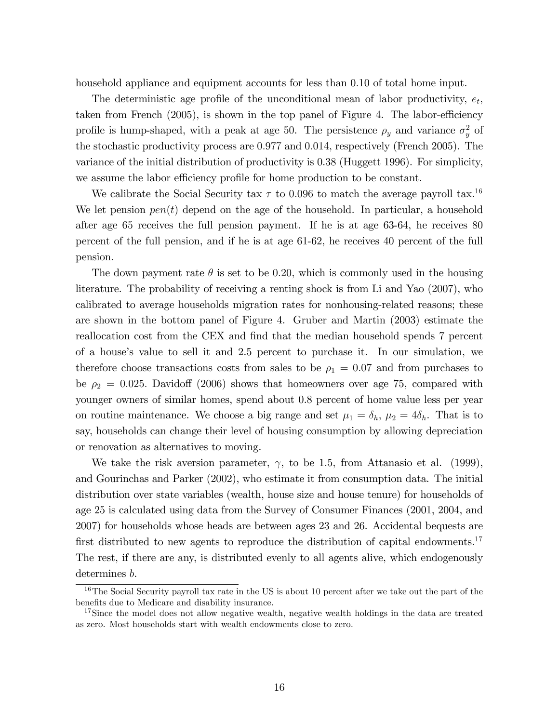household appliance and equipment accounts for less than 0:10 of total home input.

The deterministic age profile of the unconditional mean of labor productivity,  $e_t$ , taken from French  $(2005)$ , is shown in the top panel of Figure 4. The labor-efficiency profile is hump-shaped, with a peak at age 50. The persistence  $\rho_y$  and variance  $\sigma_y^2$  of the stochastic productivity process are 0:977 and 0:014, respectively (French 2005). The variance of the initial distribution of productivity is 0.38 (Huggett 1996). For simplicity, we assume the labor efficiency profile for home production to be constant.

We calibrate the Social Security tax  $\tau$  to 0.096 to match the average payroll tax.<sup>16</sup> We let pension  $pen(t)$  depend on the age of the household. In particular, a household after age 65 receives the full pension payment. If he is at age 63-64, he receives 80 percent of the full pension, and if he is at age 61-62, he receives 40 percent of the full pension.

The down payment rate  $\theta$  is set to be 0.20, which is commonly used in the housing literature. The probability of receiving a renting shock is from Li and Yao (2007), who calibrated to average households migration rates for nonhousing-related reasons; these are shown in the bottom panel of Figure 4. Gruber and Martin (2003) estimate the reallocation cost from the CEX and find that the median household spends 7 percent of a houseís value to sell it and 2.5 percent to purchase it. In our simulation, we therefore choose transactions costs from sales to be  $\rho_1 = 0.07$  and from purchases to be  $\rho_2 = 0.025$ . Davidoff (2006) shows that homeowners over age 75, compared with younger owners of similar homes, spend about 0.8 percent of home value less per year on routine maintenance. We choose a big range and set  $\mu_1 = \delta_h$ ,  $\mu_2 = 4\delta_h$ . That is to say, households can change their level of housing consumption by allowing depreciation or renovation as alternatives to moving.

We take the risk aversion parameter,  $\gamma$ , to be 1.5, from Attanasio et al. (1999), and Gourinchas and Parker (2002), who estimate it from consumption data. The initial distribution over state variables (wealth, house size and house tenure) for households of age 25 is calculated using data from the Survey of Consumer Finances (2001, 2004, and 2007) for households whose heads are between ages 23 and 26. Accidental bequests are first distributed to new agents to reproduce the distribution of capital endowments.<sup>17</sup> The rest, if there are any, is distributed evenly to all agents alive, which endogenously determines b.

 $16$ The Social Security payroll tax rate in the US is about 10 percent after we take out the part of the benefits due to Medicare and disability insurance.

<sup>&</sup>lt;sup>17</sup>Since the model does not allow negative wealth, negative wealth holdings in the data are treated as zero. Most households start with wealth endowments close to zero.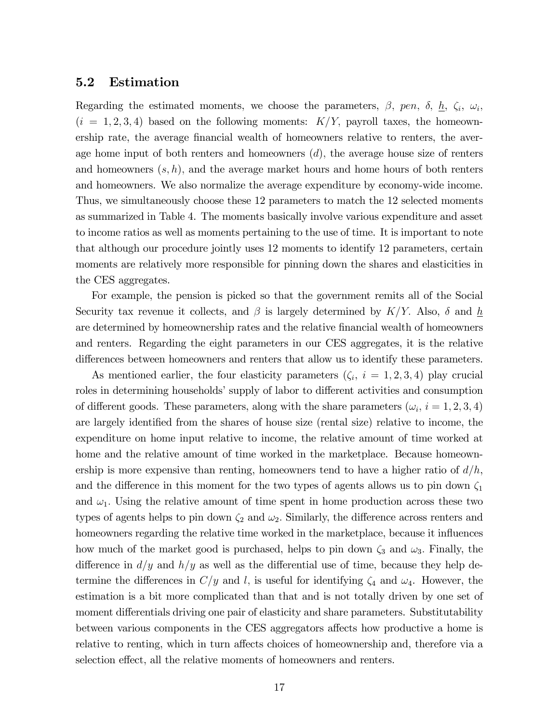### 5.2 Estimation

Regarding the estimated moments, we choose the parameters,  $\beta$ , pen,  $\delta$ ,  $\underline{h}$ ,  $\zeta_i$ ,  $\omega_i$ ,  $(i = 1, 2, 3, 4)$  based on the following moments:  $K/Y$ , payroll taxes, the homeownership rate, the average financial wealth of homeowners relative to renters, the average home input of both renters and homeowners  $(d)$ , the average house size of renters and homeowners  $(s, h)$ , and the average market hours and home hours of both renters and homeowners. We also normalize the average expenditure by economy-wide income. Thus, we simultaneously choose these 12 parameters to match the 12 selected moments as summarized in Table 4. The moments basically involve various expenditure and asset to income ratios as well as moments pertaining to the use of time. It is important to note that although our procedure jointly uses 12 moments to identify 12 parameters, certain moments are relatively more responsible for pinning down the shares and elasticities in the CES aggregates.

For example, the pension is picked so that the government remits all of the Social Security tax revenue it collects, and  $\beta$  is largely determined by  $K/Y$ . Also,  $\delta$  and h are determined by homeownership rates and the relative financial wealth of homeowners and renters. Regarding the eight parameters in our CES aggregates, it is the relative differences between homeowners and renters that allow us to identify these parameters.

As mentioned earlier, the four elasticity parameters  $(\zeta_i, i = 1, 2, 3, 4)$  play crucial roles in determining households' supply of labor to different activities and consumption of different goods. These parameters, along with the share parameters  $(\omega_i, i = 1, 2, 3, 4)$ are largely identified from the shares of house size (rental size) relative to income, the expenditure on home input relative to income, the relative amount of time worked at home and the relative amount of time worked in the marketplace. Because homeownership is more expensive than renting, homeowners tend to have a higher ratio of  $d/h$ , and the difference in this moment for the two types of agents allows us to pin down  $\zeta_1$ and  $\omega_1$ . Using the relative amount of time spent in home production across these two types of agents helps to pin down  $\zeta_2$  and  $\omega_2$ . Similarly, the difference across renters and homeowners regarding the relative time worked in the marketplace, because it influences how much of the market good is purchased, helps to pin down  $\zeta_3$  and  $\omega_3$ . Finally, the difference in  $d/y$  and  $h/y$  as well as the differential use of time, because they help determine the differences in  $C/y$  and l, is useful for identifying  $\zeta_4$  and  $\omega_4$ . However, the estimation is a bit more complicated than that and is not totally driven by one set of moment differentials driving one pair of elasticity and share parameters. Substitutability between various components in the CES aggregators affects how productive a home is relative to renting, which in turn affects choices of homeownership and, therefore via a selection effect, all the relative moments of homeowners and renters.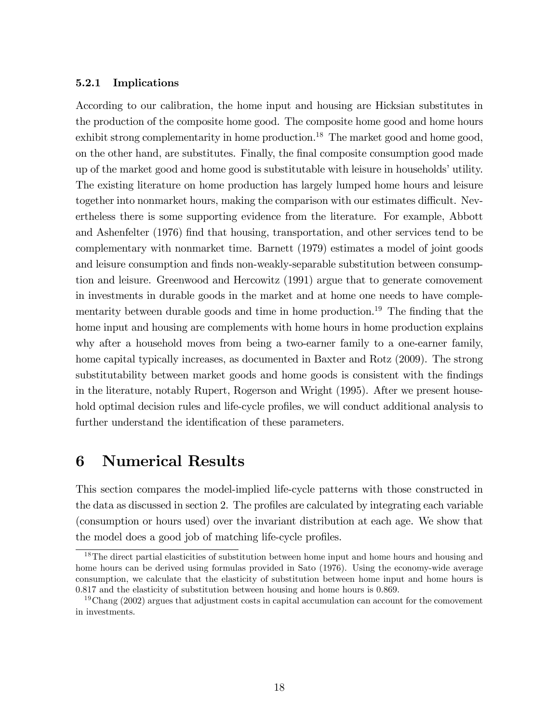#### 5.2.1 Implications

According to our calibration, the home input and housing are Hicksian substitutes in the production of the composite home good. The composite home good and home hours exhibit strong complementarity in home production.<sup>18</sup> The market good and home good, on the other hand, are substitutes. Finally, the final composite consumption good made up of the market good and home good is substitutable with leisure in households' utility. The existing literature on home production has largely lumped home hours and leisure together into nonmarket hours, making the comparison with our estimates difficult. Nevertheless there is some supporting evidence from the literature. For example, Abbott and Ashenfelter (1976) find that housing, transportation, and other services tend to be complementary with nonmarket time. Barnett (1979) estimates a model of joint goods and leisure consumption and finds non-weakly-separable substitution between consumption and leisure. Greenwood and Hercowitz (1991) argue that to generate comovement in investments in durable goods in the market and at home one needs to have complementarity between durable goods and time in home production.<sup>19</sup> The finding that the home input and housing are complements with home hours in home production explains why after a household moves from being a two-earner family to a one-earner family, home capital typically increases, as documented in Baxter and Rotz (2009). The strong substitutability between market goods and home goods is consistent with the findings in the literature, notably Rupert, Rogerson and Wright (1995). After we present household optimal decision rules and life-cycle profiles, we will conduct additional analysis to further understand the identification of these parameters.

## 6 Numerical Results

This section compares the model-implied life-cycle patterns with those constructed in the data as discussed in section 2. The profiles are calculated by integrating each variable (consumption or hours used) over the invariant distribution at each age. We show that the model does a good job of matching life-cycle profiles.

<sup>&</sup>lt;sup>18</sup>The direct partial elasticities of substitution between home input and home hours and housing and home hours can be derived using formulas provided in Sato (1976). Using the economy-wide average consumption, we calculate that the elasticity of substitution between home input and home hours is 0.817 and the elasticity of substitution between housing and home hours is 0.869.

<sup>&</sup>lt;sup>19</sup>Chang (2002) argues that adjustment costs in capital accumulation can account for the comovement in investments.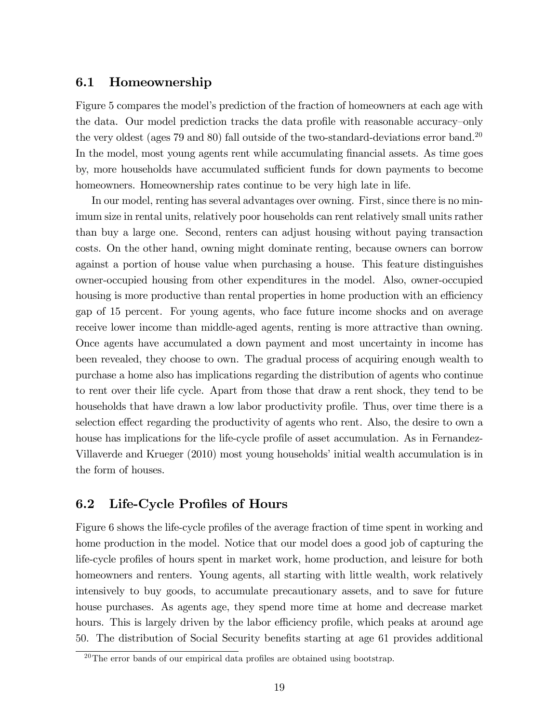## 6.1 Homeownership

Figure 5 compares the model's prediction of the fraction of homeowners at each age with the data. Our model prediction tracks the data profile with reasonable accuracy-only the very oldest (ages  $79$  and  $80$ ) fall outside of the two-standard-deviations error band.<sup>20</sup> In the model, most young agents rent while accumulating financial assets. As time goes by, more households have accumulated sufficient funds for down payments to become homeowners. Homeownership rates continue to be very high late in life.

In our model, renting has several advantages over owning. First, since there is no minimum size in rental units, relatively poor households can rent relatively small units rather than buy a large one. Second, renters can adjust housing without paying transaction costs. On the other hand, owning might dominate renting, because owners can borrow against a portion of house value when purchasing a house. This feature distinguishes owner-occupied housing from other expenditures in the model. Also, owner-occupied housing is more productive than rental properties in home production with an efficiency gap of 15 percent. For young agents, who face future income shocks and on average receive lower income than middle-aged agents, renting is more attractive than owning. Once agents have accumulated a down payment and most uncertainty in income has been revealed, they choose to own. The gradual process of acquiring enough wealth to purchase a home also has implications regarding the distribution of agents who continue to rent over their life cycle. Apart from those that draw a rent shock, they tend to be households that have drawn a low labor productivity profile. Thus, over time there is a selection effect regarding the productivity of agents who rent. Also, the desire to own a house has implications for the life-cycle profile of asset accumulation. As in Fernandez-Villaverde and Krueger (2010) most young households' initial wealth accumulation is in the form of houses.

## 6.2 Life-Cycle Profiles of Hours

Figure 6 shows the life-cycle profiles of the average fraction of time spent in working and home production in the model. Notice that our model does a good job of capturing the life-cycle profiles of hours spent in market work, home production, and leisure for both homeowners and renters. Young agents, all starting with little wealth, work relatively intensively to buy goods, to accumulate precautionary assets, and to save for future house purchases. As agents age, they spend more time at home and decrease market hours. This is largely driven by the labor efficiency profile, which peaks at around age 50. The distribution of Social Security benefits starting at age 61 provides additional

 $^{20}$ The error bands of our empirical data profiles are obtained using bootstrap.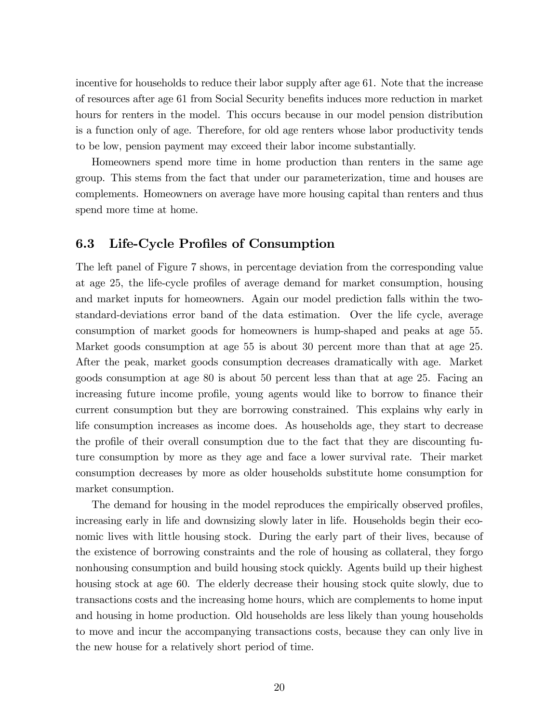incentive for households to reduce their labor supply after age 61. Note that the increase of resources after age 61 from Social Security benefits induces more reduction in market hours for renters in the model. This occurs because in our model pension distribution is a function only of age. Therefore, for old age renters whose labor productivity tends to be low, pension payment may exceed their labor income substantially.

Homeowners spend more time in home production than renters in the same age group. This stems from the fact that under our parameterization, time and houses are complements. Homeowners on average have more housing capital than renters and thus spend more time at home.

### 6.3 Life-Cycle Profiles of Consumption

The left panel of Figure 7 shows, in percentage deviation from the corresponding value at age 25, the life-cycle profiles of average demand for market consumption, housing and market inputs for homeowners. Again our model prediction falls within the twostandard-deviations error band of the data estimation. Over the life cycle, average consumption of market goods for homeowners is hump-shaped and peaks at age 55. Market goods consumption at age 55 is about 30 percent more than that at age 25. After the peak, market goods consumption decreases dramatically with age. Market goods consumption at age 80 is about 50 percent less than that at age 25. Facing an increasing future income profile, young agents would like to borrow to finance their current consumption but they are borrowing constrained. This explains why early in life consumption increases as income does. As households age, they start to decrease the profile of their overall consumption due to the fact that they are discounting future consumption by more as they age and face a lower survival rate. Their market consumption decreases by more as older households substitute home consumption for market consumption.

The demand for housing in the model reproduces the empirically observed profiles, increasing early in life and downsizing slowly later in life. Households begin their economic lives with little housing stock. During the early part of their lives, because of the existence of borrowing constraints and the role of housing as collateral, they forgo nonhousing consumption and build housing stock quickly. Agents build up their highest housing stock at age 60. The elderly decrease their housing stock quite slowly, due to transactions costs and the increasing home hours, which are complements to home input and housing in home production. Old households are less likely than young households to move and incur the accompanying transactions costs, because they can only live in the new house for a relatively short period of time.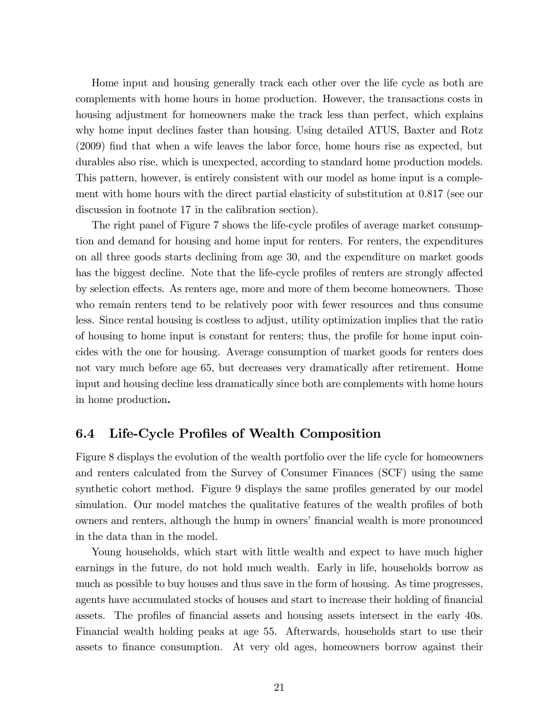Home input and housing generally track each other over the life cycle as both are complements with home hours in home production. However, the transactions costs in housing adjustment for homeowners make the track less than perfect, which explains why home input declines faster than housing. Using detailed ATUS, Baxter and Rotz  $(2009)$  find that when a wife leaves the labor force, home hours rise as expected, but durables also rise, which is unexpected, according to standard home production models. This pattern, however, is entirely consistent with our model as home input is a complement with home hours with the direct partial elasticity of substitution at 0.817 (see our discussion in footnote 17 in the calibration section).

The right panel of Figure 7 shows the life-cycle profiles of average market consumption and demand for housing and home input for renters. For renters, the expenditures on all three goods starts declining from age 30, and the expenditure on market goods has the biggest decline. Note that the life-cycle profiles of renters are strongly affected by selection effects. As renters age, more and more of them become homeowners. Those who remain renters tend to be relatively poor with fewer resources and thus consume less. Since rental housing is costless to adjust, utility optimization implies that the ratio of housing to home input is constant for renters; thus, the profile for home input coincides with the one for housing. Average consumption of market goods for renters does not vary much before age 65, but decreases very dramatically after retirement. Home input and housing decline less dramatically since both are complements with home hours in home production.

## 6.4 Life-Cycle Profiles of Wealth Composition

Figure 8 displays the evolution of the wealth portfolio over the life cycle for homeowners and renters calculated from the Survey of Consumer Finances (SCF) using the same synthetic cohort method. Figure 9 displays the same profiles generated by our model simulation. Our model matches the qualitative features of the wealth profiles of both owners and renters, although the hump in owners' financial wealth is more pronounced in the data than in the model.

Young households, which start with little wealth and expect to have much higher earnings in the future, do not hold much wealth. Early in life, households borrow as much as possible to buy houses and thus save in the form of housing. As time progresses, agents have accumulated stocks of houses and start to increase their holding of financial assets. The profiles of financial assets and housing assets intersect in the early 40s. Financial wealth holding peaks at age 55. Afterwards, households start to use their assets to finance consumption. At very old ages, homeowners borrow against their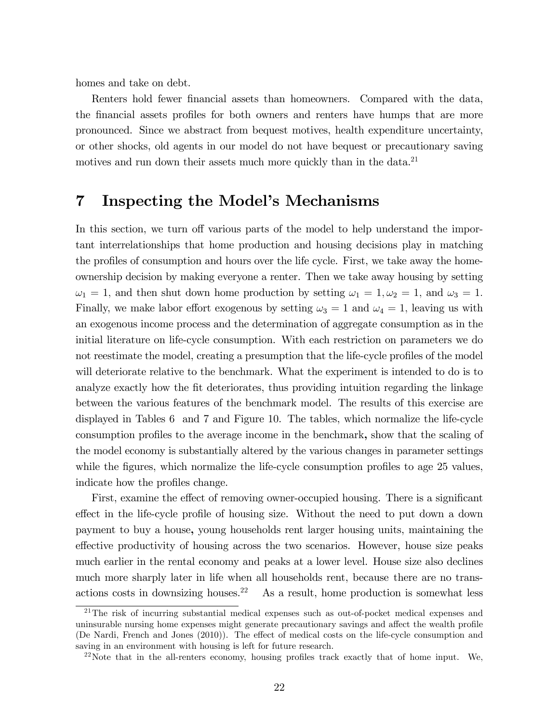homes and take on debt.

Renters hold fewer financial assets than homeowners. Compared with the data, the financial assets profiles for both owners and renters have humps that are more pronounced. Since we abstract from bequest motives, health expenditure uncertainty, or other shocks, old agents in our model do not have bequest or precautionary saving motives and run down their assets much more quickly than in the data.<sup>21</sup>

## 7 Inspecting the Model's Mechanisms

In this section, we turn off various parts of the model to help understand the important interrelationships that home production and housing decisions play in matching the profiles of consumption and hours over the life cycle. First, we take away the homeownership decision by making everyone a renter. Then we take away housing by setting  $\omega_1 = 1$ , and then shut down home production by setting  $\omega_1 = 1, \omega_2 = 1$ , and  $\omega_3 = 1$ . Finally, we make labor effort exogenous by setting  $\omega_3 = 1$  and  $\omega_4 = 1$ , leaving us with an exogenous income process and the determination of aggregate consumption as in the initial literature on life-cycle consumption. With each restriction on parameters we do not reestimate the model, creating a presumption that the life-cycle profiles of the model will deteriorate relative to the benchmark. What the experiment is intended to do is to analyze exactly how the fit deteriorates, thus providing intuition regarding the linkage between the various features of the benchmark model. The results of this exercise are displayed in Tables 6 and 7 and Figure 10. The tables, which normalize the life-cycle consumption profiles to the average income in the benchmark, show that the scaling of the model economy is substantially altered by the various changes in parameter settings while the figures, which normalize the life-cycle consumption profiles to age 25 values, indicate how the profiles change.

First, examine the effect of removing owner-occupied housing. There is a significant effect in the life-cycle profile of housing size. Without the need to put down a down payment to buy a house, young households rent larger housing units, maintaining the effective productivity of housing across the two scenarios. However, house size peaks much earlier in the rental economy and peaks at a lower level. House size also declines much more sharply later in life when all households rent, because there are no transactions costs in downsizing houses.<sup>22</sup> As a result, home production is somewhat less

 $21$ The risk of incurring substantial medical expenses such as out-of-pocket medical expenses and uninsurable nursing home expenses might generate precautionary savings and affect the wealth profile (De Nardi, French and Jones  $(2010)$ ). The effect of medical costs on the life-cycle consumption and saving in an environment with housing is left for future research.

 $22$ Note that in the all-renters economy, housing profiles track exactly that of home input. We,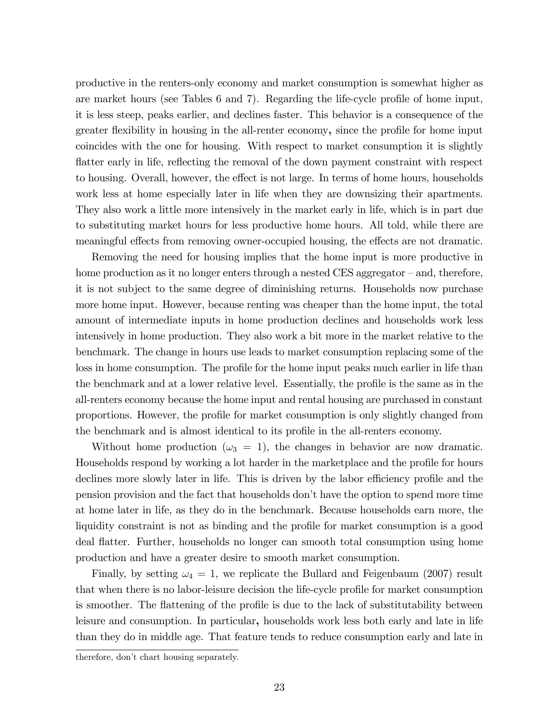productive in the renters-only economy and market consumption is somewhat higher as are market hours (see Tables  $6$  and  $7$ ). Regarding the life-cycle profile of home input, it is less steep, peaks earlier, and declines faster. This behavior is a consequence of the greater flexibility in housing in the all-renter economy, since the profile for home input coincides with the one for housing. With respect to market consumption it is slightly flatter early in life, reflecting the removal of the down payment constraint with respect to housing. Overall, however, the effect is not large. In terms of home hours, households work less at home especially later in life when they are downsizing their apartments. They also work a little more intensively in the market early in life, which is in part due to substituting market hours for less productive home hours. All told, while there are meaningful effects from removing owner-occupied housing, the effects are not dramatic.

Removing the need for housing implies that the home input is more productive in home production as it no longer enters through a nested CES aggregator  $-$  and, therefore, it is not subject to the same degree of diminishing returns. Households now purchase more home input. However, because renting was cheaper than the home input, the total amount of intermediate inputs in home production declines and households work less intensively in home production. They also work a bit more in the market relative to the benchmark. The change in hours use leads to market consumption replacing some of the loss in home consumption. The profile for the home input peaks much earlier in life than the benchmark and at a lower relative level. Essentially, the profile is the same as in the all-renters economy because the home input and rental housing are purchased in constant proportions. However, the profile for market consumption is only slightly changed from the benchmark and is almost identical to its profile in the all-renters economy.

Without home production  $(\omega_3 = 1)$ , the changes in behavior are now dramatic. Households respond by working a lot harder in the marketplace and the profile for hours declines more slowly later in life. This is driven by the labor efficiency profile and the pension provision and the fact that households donít have the option to spend more time at home later in life, as they do in the benchmark. Because households earn more, the liquidity constraint is not as binding and the profile for market consumption is a good deal áatter. Further, households no longer can smooth total consumption using home production and have a greater desire to smooth market consumption.

Finally, by setting  $\omega_4 = 1$ , we replicate the Bullard and Feigenbaum (2007) result that when there is no labor-leisure decision the life-cycle profile for market consumption is smoother. The flattening of the profile is due to the lack of substitutability between leisure and consumption. In particular, households work less both early and late in life than they do in middle age. That feature tends to reduce consumption early and late in

therefore, don't chart housing separately.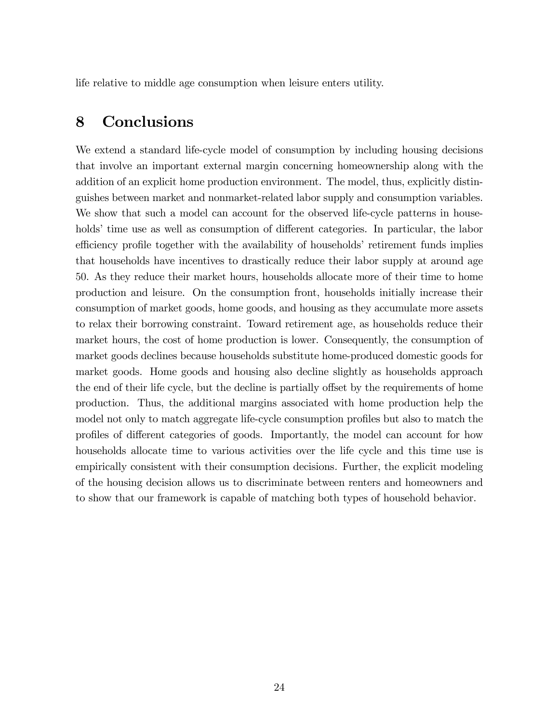life relative to middle age consumption when leisure enters utility.

## 8 Conclusions

We extend a standard life-cycle model of consumption by including housing decisions that involve an important external margin concerning homeownership along with the addition of an explicit home production environment. The model, thus, explicitly distinguishes between market and nonmarket-related labor supply and consumption variables. We show that such a model can account for the observed life-cycle patterns in households' time use as well as consumption of different categories. In particular, the labor efficiency profile together with the availability of households' retirement funds implies that households have incentives to drastically reduce their labor supply at around age 50. As they reduce their market hours, households allocate more of their time to home production and leisure. On the consumption front, households initially increase their consumption of market goods, home goods, and housing as they accumulate more assets to relax their borrowing constraint. Toward retirement age, as households reduce their market hours, the cost of home production is lower. Consequently, the consumption of market goods declines because households substitute home-produced domestic goods for market goods. Home goods and housing also decline slightly as households approach the end of their life cycle, but the decline is partially offset by the requirements of home production. Thus, the additional margins associated with home production help the model not only to match aggregate life-cycle consumption profiles but also to match the profiles of different categories of goods. Importantly, the model can account for how households allocate time to various activities over the life cycle and this time use is empirically consistent with their consumption decisions. Further, the explicit modeling of the housing decision allows us to discriminate between renters and homeowners and to show that our framework is capable of matching both types of household behavior.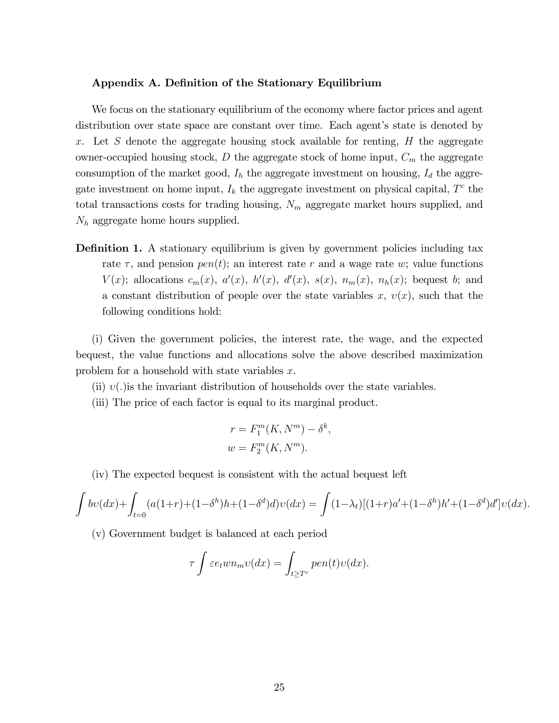#### Appendix A. Definition of the Stationary Equilibrium

We focus on the stationary equilibrium of the economy where factor prices and agent distribution over state space are constant over time. Each agent's state is denoted by x. Let S denote the aggregate housing stock available for renting,  $H$  the aggregate owner-occupied housing stock,  $D$  the aggregate stock of home input,  $C_m$  the aggregate consumption of the market good,  $I_h$  the aggregate investment on housing,  $I_d$  the aggregate investment on home input,  $I_k$  the aggregate investment on physical capital,  $T<sup>c</sup>$  the total transactions costs for trading housing,  $N_m$  aggregate market hours supplied, and  $N_h$  aggregate home hours supplied.

**Definition 1.** A stationary equilibrium is given by government policies including tax rate  $\tau$ , and pension  $pen(t)$ ; an interest rate r and a wage rate w; value functions  $V(x)$ ; allocations  $c_m(x)$ ,  $a'(x)$ ,  $h'(x)$ ,  $d'(x)$ ,  $s(x)$ ,  $n_m(x)$ ,  $n_h(x)$ ; bequest b; and a constant distribution of people over the state variables  $x, v(x)$ , such that the following conditions hold:

(i) Given the government policies, the interest rate, the wage, and the expected bequest, the value functions and allocations solve the above described maximization problem for a household with state variables x.

(ii)  $v(.)$  is the invariant distribution of households over the state variables.

(iii) The price of each factor is equal to its marginal product.

$$
r = F_1^m(K, N^m) - \delta^k,
$$
  

$$
w = F_2^m(K, N^m).
$$

(iv) The expected bequest is consistent with the actual bequest left

$$
\int bv(dx) + \int_{t=0}^{\infty} (a(1+r) + (1-\delta^h)h + (1-\delta^d)d)v(dx) = \int (1-\lambda_t)[(1+r)a' + (1-\delta^h)h' + (1-\delta^d)d']v(dx).
$$

(v) Government budget is balanced at each period

$$
\tau \int \varepsilon e_t w n_m v(dx) = \int_{t \ge T^r} p e n(t) v(dx).
$$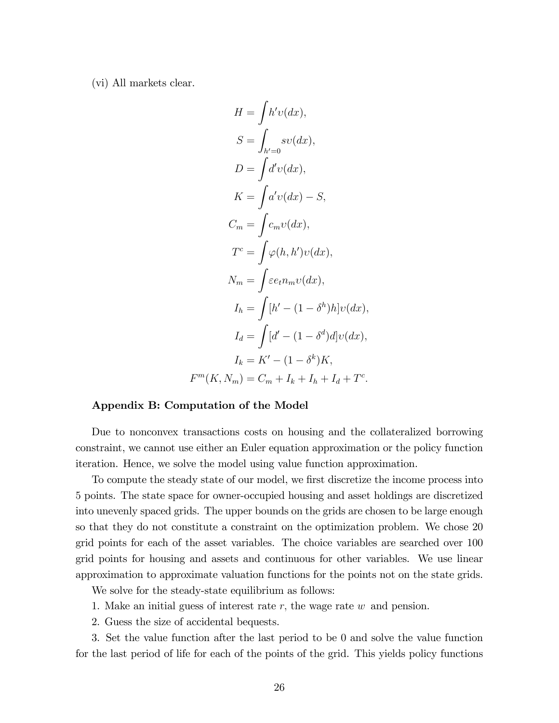(vi) All markets clear.

$$
H = \int h' v(dx),
$$
  
\n
$$
S = \int_{h'=0} s v(dx),
$$
  
\n
$$
D = \int d' v(dx),
$$
  
\n
$$
K = \int a' v(dx) - S,
$$
  
\n
$$
C_m = \int c_m v(dx),
$$
  
\n
$$
T^c = \int \varphi(h, h') v(dx),
$$
  
\n
$$
N_m = \int \varepsilon e_t n_m v(dx),
$$
  
\n
$$
I_h = \int [h' - (1 - \delta^h)h] v(dx),
$$
  
\n
$$
I_d = \int [d' - (1 - \delta^d) d] v(dx),
$$
  
\n
$$
I_k = K' - (1 - \delta^k) K,
$$
  
\n
$$
F^m(K, N_m) = C_m + I_k + I_h + I_d + T^c.
$$

#### Appendix B: Computation of the Model

Due to nonconvex transactions costs on housing and the collateralized borrowing constraint, we cannot use either an Euler equation approximation or the policy function iteration. Hence, we solve the model using value function approximation.

To compute the steady state of our model, we first discretize the income process into 5 points. The state space for owner-occupied housing and asset holdings are discretized into unevenly spaced grids. The upper bounds on the grids are chosen to be large enough so that they do not constitute a constraint on the optimization problem. We chose 20 grid points for each of the asset variables. The choice variables are searched over 100 grid points for housing and assets and continuous for other variables. We use linear approximation to approximate valuation functions for the points not on the state grids.

We solve for the steady-state equilibrium as follows:

- 1. Make an initial guess of interest rate  $r$ , the wage rate  $w$  and pension.
- 2. Guess the size of accidental bequests.

3. Set the value function after the last period to be 0 and solve the value function for the last period of life for each of the points of the grid. This yields policy functions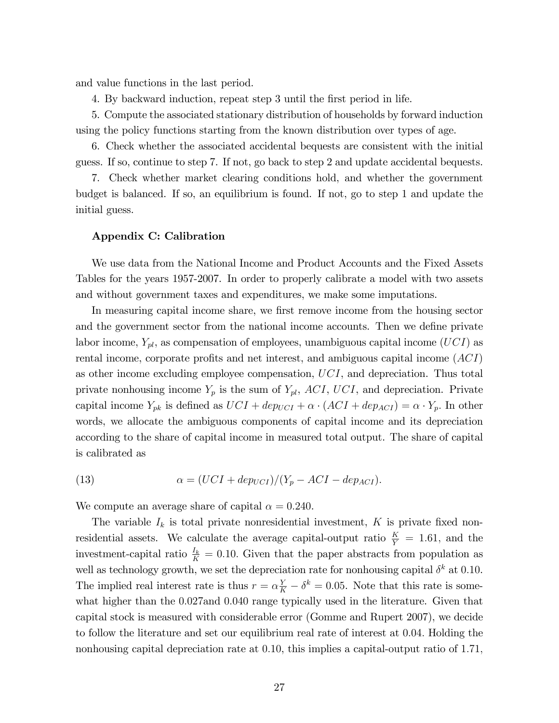and value functions in the last period.

4. By backward induction, repeat step 3 until the Örst period in life.

5. Compute the associated stationary distribution of households by forward induction using the policy functions starting from the known distribution over types of age.

6. Check whether the associated accidental bequests are consistent with the initial guess. If so, continue to step 7. If not, go back to step 2 and update accidental bequests.

7. Check whether market clearing conditions hold, and whether the government budget is balanced. If so, an equilibrium is found. If not, go to step 1 and update the initial guess.

#### Appendix C: Calibration

We use data from the National Income and Product Accounts and the Fixed Assets Tables for the years 1957-2007. In order to properly calibrate a model with two assets and without government taxes and expenditures, we make some imputations.

In measuring capital income share, we first remove income from the housing sector and the government sector from the national income accounts. Then we define private labor income,  $Y_{pl}$ , as compensation of employees, unambiguous capital income (UCI) as rental income, corporate profits and net interest, and ambiguous capital income  $(ACI)$ as other income excluding employee compensation, UCI, and depreciation. Thus total private nonhousing income  $Y_p$  is the sum of  $Y_{pl}$ , ACI, UCI, and depreciation. Private capital income  $Y_{pk}$  is defined as  $UCI + dep_{UCI} + \alpha \cdot (ACI + dep_{ACI}) = \alpha \cdot Y_p$ . In other words, we allocate the ambiguous components of capital income and its depreciation according to the share of capital income in measured total output. The share of capital is calibrated as

(13) 
$$
\alpha = (UCI + dep_{UCI})/(Y_p - ACI - dep_{ACI}).
$$

We compute an average share of capital  $\alpha = 0.240$ .

The variable  $I_k$  is total private nonresidential investment, K is private fixed nonresidential assets. We calculate the average capital-output ratio  $\frac{K}{Y} = 1.61$ , and the investment-capital ratio  $\frac{I_k}{K} = 0.10$ . Given that the paper abstracts from population as well as technology growth, we set the depreciation rate for nonhousing capital  $\delta^k$  at 0.10. The implied real interest rate is thus  $r = \alpha \frac{Y}{K} - \delta^k = 0.05$ . Note that this rate is somewhat higher than the 0.027 and 0.040 range typically used in the literature. Given that capital stock is measured with considerable error (Gomme and Rupert 2007), we decide to follow the literature and set our equilibrium real rate of interest at 0:04: Holding the nonhousing capital depreciation rate at 0.10, this implies a capital-output ratio of 1.71,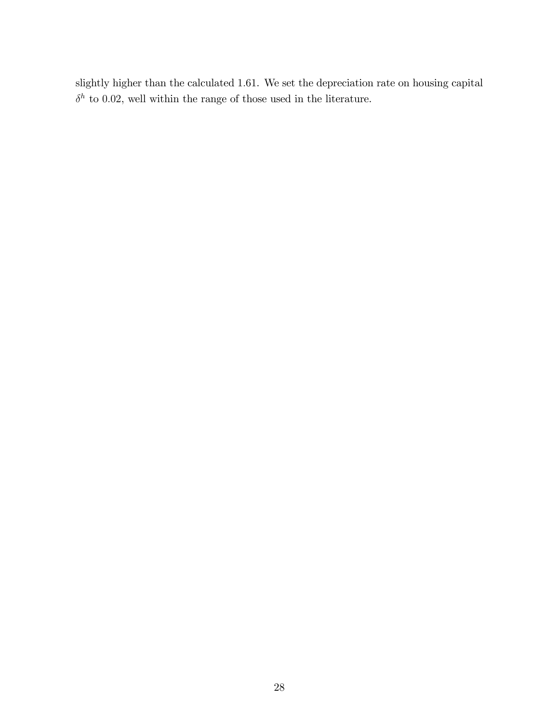slightly higher than the calculated 1:61. We set the depreciation rate on housing capital  $\delta^h$  to 0.02, well within the range of those used in the literature.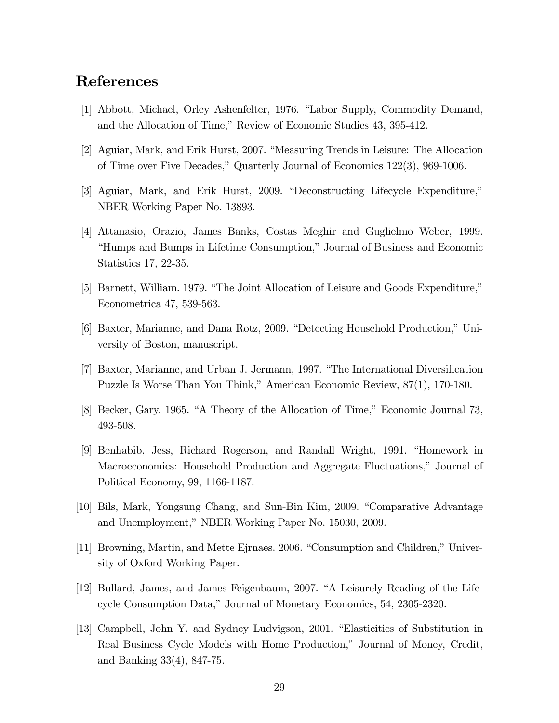## References

- [1] Abbott, Michael, Orley Ashenfelter, 1976. "Labor Supply, Commodity Demand, and the Allocation of Time," Review of Economic Studies 43, 395-412.
- [2] Aguiar, Mark, and Erik Hurst, 2007. "Measuring Trends in Leisure: The Allocation of Time over Five Decades," Quarterly Journal of Economics 122(3), 969-1006.
- [3] Aguiar, Mark, and Erik Hurst, 2009. "Deconstructing Lifecycle Expenditure," NBER Working Paper No. 13893.
- [4] Attanasio, Orazio, James Banks, Costas Meghir and Guglielmo Weber, 1999. ìHumps and Bumps in Lifetime Consumption,îJournal of Business and Economic Statistics 17, 22-35.
- [5] Barnett, William. 1979. "The Joint Allocation of Leisure and Goods Expenditure," Econometrica 47, 539-563.
- [6] Baxter, Marianne, and Dana Rotz, 2009. "Detecting Household Production," University of Boston, manuscript.
- [7] Baxter, Marianne, and Urban J. Jermann, 1997. "The International Diversification Puzzle Is Worse Than You Think," American Economic Review, 87(1), 170-180.
- [8] Becker, Gary. 1965. "A Theory of the Allocation of Time," Economic Journal 73, 493-508.
- [9] Benhabib, Jess, Richard Rogerson, and Randall Wright, 1991. "Homework in Macroeconomics: Household Production and Aggregate Fluctuations," Journal of Political Economy, 99, 1166-1187.
- [10] Bils, Mark, Yongsung Chang, and Sun-Bin Kim, 2009. "Comparative Advantage and Unemployment," NBER Working Paper No. 15030, 2009.
- [11] Browning, Martin, and Mette Ejrnaes. 2006. "Consumption and Children," University of Oxford Working Paper.
- [12] Bullard, James, and James Feigenbaum, 2007. "A Leisurely Reading of the Lifecycle Consumption Data," Journal of Monetary Economics, 54, 2305-2320.
- [13] Campbell, John Y. and Sydney Ludvigson, 2001. "Elasticities of Substitution in Real Business Cycle Models with Home Production," Journal of Money, Credit, and Banking 33(4), 847-75.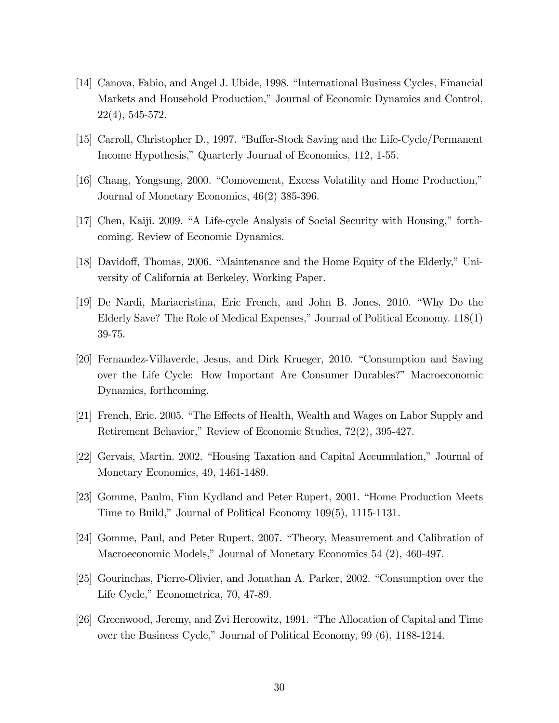- [14] Canova, Fabio, and Angel J. Ubide, 1998. "International Business Cycles, Financial Markets and Household Production," Journal of Economic Dynamics and Control, 22(4), 545-572.
- [15] Carroll, Christopher D., 1997. "Buffer-Stock Saving and the Life-Cycle/Permanent Income Hypothesis," Quarterly Journal of Economics, 112, 1-55.
- [16] Chang, Yongsung, 2000. "Comovement, Excess Volatility and Home Production," Journal of Monetary Economics, 46(2) 385-396.
- $[17]$  Chen, Kaiji. 2009. "A Life-cycle Analysis of Social Security with Housing," forthcoming. Review of Economic Dynamics.
- [18] Davidoff, Thomas, 2006. "Maintenance and the Home Equity of the Elderly," University of California at Berkeley, Working Paper.
- [19] De Nardi, Mariacristina, Eric French, and John B. Jones, 2010. "Why Do the Elderly Save? The Role of Medical Expenses," Journal of Political Economy.  $118(1)$ 39-75.
- [20] Fernandez-Villaverde, Jesus, and Dirk Krueger, 2010. "Consumption and Saving over the Life Cycle: How Important Are Consumer Durables?î Macroeconomic Dynamics, forthcoming.
- [21] French, Eric. 2005. "The Effects of Health, Wealth and Wages on Labor Supply and Retirement Behavior," Review of Economic Studies, 72(2), 395-427.
- [22] Gervais, Martin. 2002. "Housing Taxation and Capital Accumulation," Journal of Monetary Economics, 49, 1461-1489.
- [23] Gomme, Paulm, Finn Kydland and Peter Rupert, 2001. "Home Production Meets Time to Build," Journal of Political Economy  $109(5)$ , 1115-1131.
- [24] Gomme, Paul, and Peter Rupert, 2007. "Theory, Measurement and Calibration of Macroeconomic Models," Journal of Monetary Economics 54  $(2)$ , 460-497.
- [25] Gourinchas, Pierre-Olivier, and Jonathan A. Parker, 2002. "Consumption over the Life Cycle," Econometrica, 70, 47-89.
- [26] Greenwood, Jeremy, and Zvi Hercowitz, 1991. "The Allocation of Capital and Time over the Business Cycle," Journal of Political Economy, 99 (6), 1188-1214.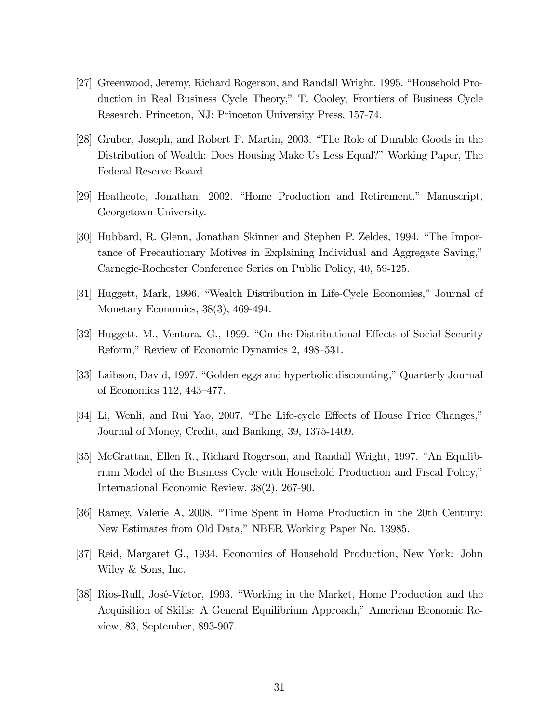- [27] Greenwood, Jeremy, Richard Rogerson, and Randall Wright, 1995. "Household Production in Real Business Cycle Theory,î T. Cooley, Frontiers of Business Cycle Research. Princeton, NJ: Princeton University Press, 157-74.
- [28] Gruber, Joseph, and Robert F. Martin, 2003. "The Role of Durable Goods in the Distribution of Wealth: Does Housing Make Us Less Equal?" Working Paper, The Federal Reserve Board.
- [29] Heathcote, Jonathan, 2002. "Home Production and Retirement," Manuscript, Georgetown University.
- [30] Hubbard, R. Glenn, Jonathan Skinner and Stephen P. Zeldes, 1994. "The Importance of Precautionary Motives in Explaining Individual and Aggregate Saving," Carnegie-Rochester Conference Series on Public Policy, 40, 59-125.
- [31] Huggett, Mark, 1996. "Wealth Distribution in Life-Cycle Economies," Journal of Monetary Economics, 38(3), 469-494.
- [32] Huggett, M., Ventura, G., 1999. "On the Distributional Effects of Social Security Reform," Review of Economic Dynamics 2, 498–531.
- [33] Laibson, David, 1997. "Golden eggs and hyperbolic discounting," Quarterly Journal of Economics 112, 443-477.
- [34] Li, Wenli, and Rui Yao, 2007. "The Life-cycle Effects of House Price Changes," Journal of Money, Credit, and Banking, 39, 1375-1409.
- [35] McGrattan, Ellen R., Richard Rogerson, and Randall Wright, 1997. "An Equilibrium Model of the Business Cycle with Household Production and Fiscal Policy," International Economic Review, 38(2), 267-90.
- [36] Ramey, Valerie A, 2008. "Time Spent in Home Production in the 20th Century: New Estimates from Old Data," NBER Working Paper No. 13985.
- [37] Reid, Margaret G., 1934. Economics of Household Production, New York: John Wiley & Sons, Inc.
- [38] Rios-Rull, José-Víctor, 1993. "Working in the Market, Home Production and the Acquisition of Skills: A General Equilibrium Approach," American Economic Review, 83, September, 893-907.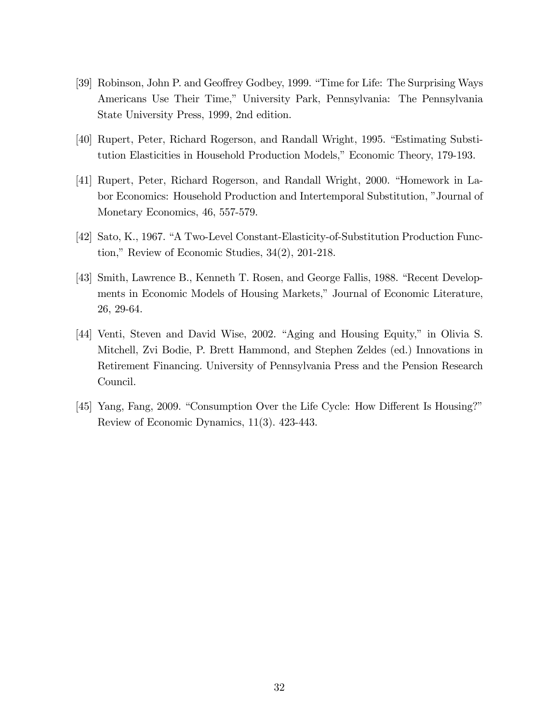- [39] Robinson, John P. and Geoffrey Godbey, 1999. "Time for Life: The Surprising Ways Americans Use Their Time," University Park, Pennsylvania: The Pennsylvania State University Press, 1999, 2nd edition.
- [40] Rupert, Peter, Richard Rogerson, and Randall Wright, 1995. "Estimating Substitution Elasticities in Household Production Models," Economic Theory, 179-193.
- [41] Rupert, Peter, Richard Rogerson, and Randall Wright, 2000. "Homework in Labor Economics: Household Production and Intertemporal Substitution, "Journal of Monetary Economics, 46, 557-579.
- [42] Sato, K., 1967. "A Two-Level Constant-Elasticity-of-Substitution Production Function," Review of Economic Studies,  $34(2)$ , 201-218.
- [43] Smith, Lawrence B., Kenneth T. Rosen, and George Fallis, 1988. "Recent Developments in Economic Models of Housing Markets," Journal of Economic Literature, 26, 29-64.
- [44] Venti, Steven and David Wise, 2002. "Aging and Housing Equity," in Olivia S. Mitchell, Zvi Bodie, P. Brett Hammond, and Stephen Zeldes (ed.) Innovations in Retirement Financing. University of Pennsylvania Press and the Pension Research Council.
- [45] Yang, Fang, 2009. "Consumption Over the Life Cycle: How Different Is Housing?" Review of Economic Dynamics, 11(3). 423-443.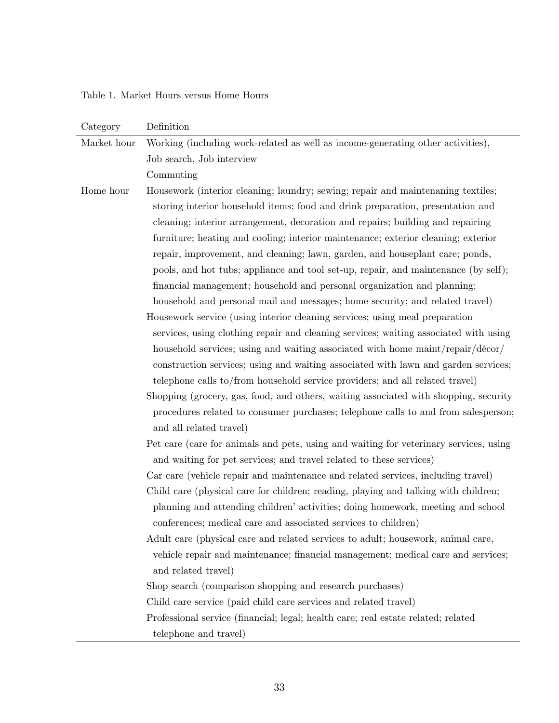Table 1. Market Hours versus Home Hours

| Category    | Definition                                                                            |
|-------------|---------------------------------------------------------------------------------------|
| Market hour | Working (including work-related as well as income-generating other activities),       |
|             | Job search, Job interview                                                             |
|             | Commuting                                                                             |
| Home hour   | Housework (interior cleaning; laundry; sewing; repair and maintenaning textiles;      |
|             | storing interior household items; food and drink preparation, presentation and        |
|             | cleaning; interior arrangement, decoration and repairs; building and repairing        |
|             | furniture; heating and cooling; interior maintenance; exterior cleaning; exterior     |
|             | repair, improvement, and cleaning; lawn, garden, and houseplant care; ponds,          |
|             | pools, and hot tubs; appliance and tool set-up, repair, and maintenance (by self);    |
|             | financial management; household and personal organization and planning;               |
|             | household and personal mail and messages; home security; and related travel)          |
|             | Housework service (using interior cleaning services; using meal preparation           |
|             | services, using clothing repair and cleaning services; waiting associated with using  |
|             | household services; using and waiting associated with home maint/repair/décor/        |
|             | construction services; using and waiting associated with lawn and garden services;    |
|             | telephone calls to/from household service providers; and all related travel)          |
|             | Shopping (grocery, gas, food, and others, waiting associated with shopping, security  |
|             | procedures related to consumer purchases; telephone calls to and from salesperson;    |
|             | and all related travel)                                                               |
|             | Pet care (care for animals and pets, using and waiting for veterinary services, using |
|             | and waiting for pet services; and travel related to these services)                   |
|             | Car care (vehicle repair and maintenance and related services, including travel)      |
|             | Child care (physical care for children; reading, playing and talking with children;   |
|             | planning and attending children' activities; doing homework, meeting and school       |
|             | conferences; medical care and associated services to children)                        |
|             | Adult care (physical care and related services to adult; housework, animal care,      |
|             | vehicle repair and maintenance; financial management; medical care and services;      |
|             | and related travel)                                                                   |
|             | Shop search (comparison shopping and research purchases)                              |
|             | Child care service (paid child care services and related travel)                      |
|             | Professional service (financial; legal; health care; real estate related; related     |
|             | telephone and travel)                                                                 |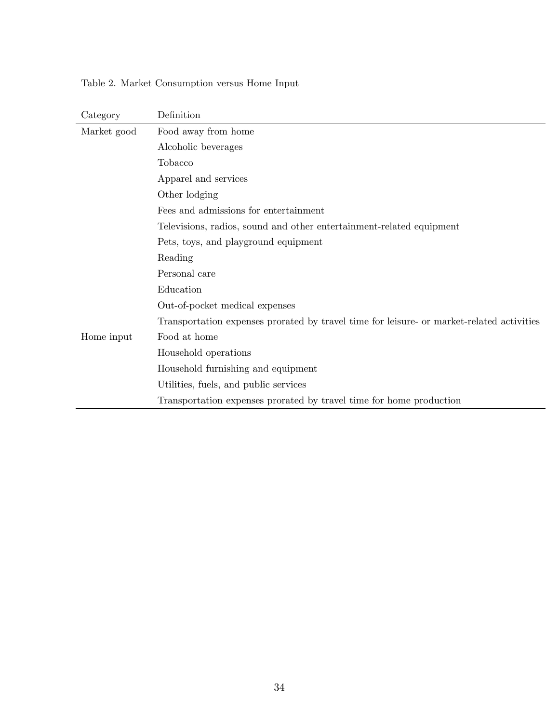|  |  | Table 2. Market Consumption versus Home Input |  |  |  |
|--|--|-----------------------------------------------|--|--|--|
|--|--|-----------------------------------------------|--|--|--|

| Category    | Definition                                                                                |  |  |  |
|-------------|-------------------------------------------------------------------------------------------|--|--|--|
| Market good | Food away from home                                                                       |  |  |  |
|             | Alcoholic beverages                                                                       |  |  |  |
|             | Tobacco                                                                                   |  |  |  |
|             | Apparel and services                                                                      |  |  |  |
|             | Other lodging                                                                             |  |  |  |
|             | Fees and admissions for entertainment                                                     |  |  |  |
|             | Televisions, radios, sound and other entertainment-related equipment                      |  |  |  |
|             | Pets, toys, and playground equipment                                                      |  |  |  |
|             | Reading                                                                                   |  |  |  |
|             | Personal care                                                                             |  |  |  |
|             | Education                                                                                 |  |  |  |
|             | Out-of-pocket medical expenses                                                            |  |  |  |
|             | Transportation expenses prorated by travel time for leisure- or market-related activities |  |  |  |
| Home input  | Food at home                                                                              |  |  |  |
|             | Household operations                                                                      |  |  |  |
|             | Household furnishing and equipment                                                        |  |  |  |
|             | Utilities, fuels, and public services                                                     |  |  |  |
|             | Transportation expenses prorated by travel time for home production                       |  |  |  |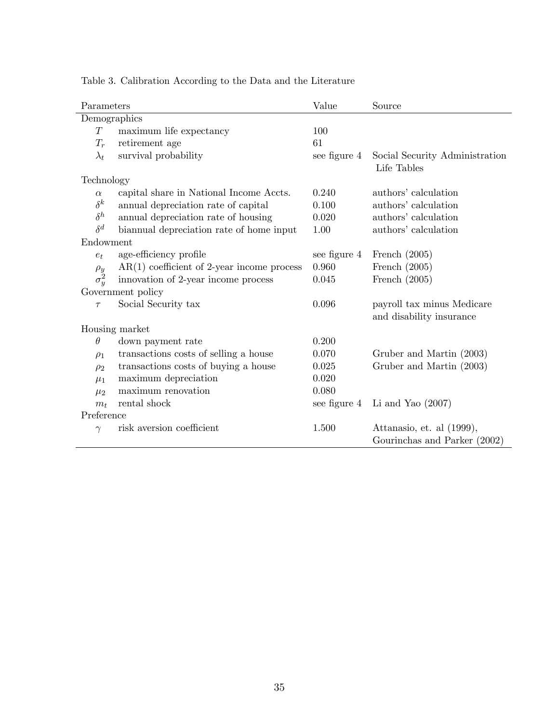| Parameters       |                                              | Value        | Source                                                 |  |  |  |
|------------------|----------------------------------------------|--------------|--------------------------------------------------------|--|--|--|
| Demographics     |                                              |              |                                                        |  |  |  |
| T                | maximum life expectancy                      | 100          |                                                        |  |  |  |
| $T_r$            | retirement age                               | 61           |                                                        |  |  |  |
| $\lambda_t$      | survival probability                         | see figure 4 | Social Security Administration<br>Life Tables          |  |  |  |
| Technology       |                                              |              |                                                        |  |  |  |
| $\alpha$         | capital share in National Income Accts.      | 0.240        | authors' calculation                                   |  |  |  |
| $\delta^k$       | annual depreciation rate of capital          | 0.100        | authors' calculation                                   |  |  |  |
| $\delta^h$       | annual depreciation rate of housing          | 0.020        | authors' calculation                                   |  |  |  |
| $\delta^d$       | biannual depreciation rate of home input     | 1.00         | authors' calculation                                   |  |  |  |
| Endowment        |                                              |              |                                                        |  |  |  |
| $e_t$            | age-efficiency profile                       | see figure 4 | French $(2005)$                                        |  |  |  |
| $\rho_y$         | $AR(1)$ coefficient of 2-year income process | 0.960        | French $(2005)$                                        |  |  |  |
| $\sigma_{y}^{2}$ | innovation of 2-year income process          | 0.045        | French $(2005)$                                        |  |  |  |
|                  | Government policy                            |              |                                                        |  |  |  |
| $\tau$           | Social Security tax                          | 0.096        | payroll tax minus Medicare<br>and disability insurance |  |  |  |
|                  | Housing market                               |              |                                                        |  |  |  |
| $\theta$         | down payment rate                            | 0.200        |                                                        |  |  |  |
| $\rho_1$         | transactions costs of selling a house        | 0.070        | Gruber and Martin (2003)                               |  |  |  |
| $\rho_2$         | transactions costs of buying a house         | 0.025        | Gruber and Martin (2003)                               |  |  |  |
| $\mu_1$          | maximum depreciation                         | 0.020        |                                                        |  |  |  |
| $\mu_2$          | maximum renovation                           | 0.080        |                                                        |  |  |  |
| $m_t$            | rental shock                                 | see figure 4 | Li and Yao $(2007)$                                    |  |  |  |
| Preference       |                                              |              |                                                        |  |  |  |
| $\gamma$         | risk aversion coefficient                    | 1.500        | Attanasio, et. al (1999),                              |  |  |  |
|                  |                                              |              | Gourinchas and Parker (2002)                           |  |  |  |

Table 3. Calibration According to the Data and the Literature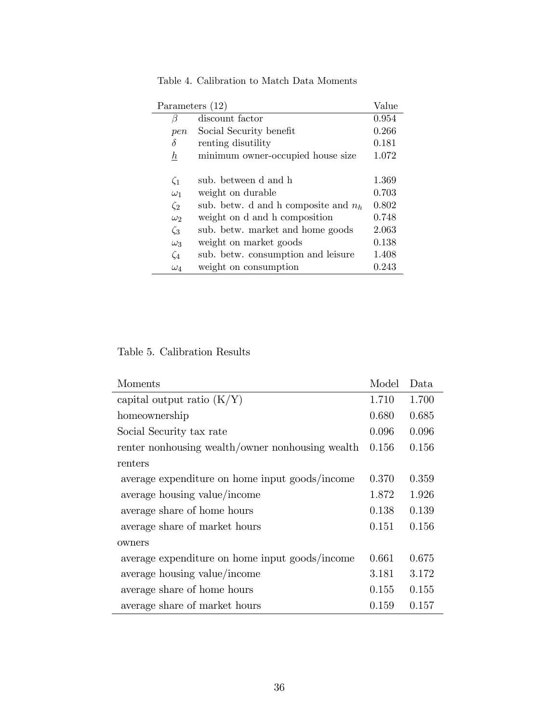| Parameters $(12)$ |                                        |       |  |  |  |
|-------------------|----------------------------------------|-------|--|--|--|
| β                 | discount factor                        |       |  |  |  |
| pen               | Social Security benefit                | 0.266 |  |  |  |
| δ                 | renting disutility                     | 0.181 |  |  |  |
| $\hbar$           | minimum owner-occupied house size      | 1.072 |  |  |  |
|                   |                                        |       |  |  |  |
| $\zeta_1$         | sub. between d and h                   | 1.369 |  |  |  |
| $\omega_1$        | weight on durable                      | 0.703 |  |  |  |
| $\zeta_2$         | sub. betw. d and h composite and $n_h$ | 0.802 |  |  |  |
| $\omega_2$        | weight on d and h composition          | 0.748 |  |  |  |
| $\zeta_3$         | sub. betw. market and home goods       | 2.063 |  |  |  |
| $\omega_3$        | weight on market goods                 | 0.138 |  |  |  |
| $\zeta_4$         | sub. betw. consumption and leisure     | 1.408 |  |  |  |
| $\omega_4$        | weight on consumption                  | 0.243 |  |  |  |

Table 4. Calibration to Match Data Moments

Table 5. Calibration Results

| Moments                                          | Model | Data  |
|--------------------------------------------------|-------|-------|
| capital output ratio $(K/Y)$                     | 1.710 | 1.700 |
| homeownership                                    | 0.680 | 0.685 |
| Social Security tax rate                         | 0.096 | 0.096 |
| renter nonhousing wealth/owner nonhousing wealth | 0.156 | 0.156 |
| renters                                          |       |       |
| average expenditure on home input goods/income   | 0.370 | 0.359 |
| average housing value/income                     | 1.872 | 1.926 |
| average share of home hours                      | 0.138 | 0.139 |
| average share of market hours                    | 0.151 | 0.156 |
| owners                                           |       |       |
| average expenditure on home input goods/income   | 0.661 | 0.675 |
| average housing value/income                     | 3.181 | 3.172 |
| average share of home hours                      | 0.155 | 0.155 |
| average share of market hours                    | 0.159 | 0.157 |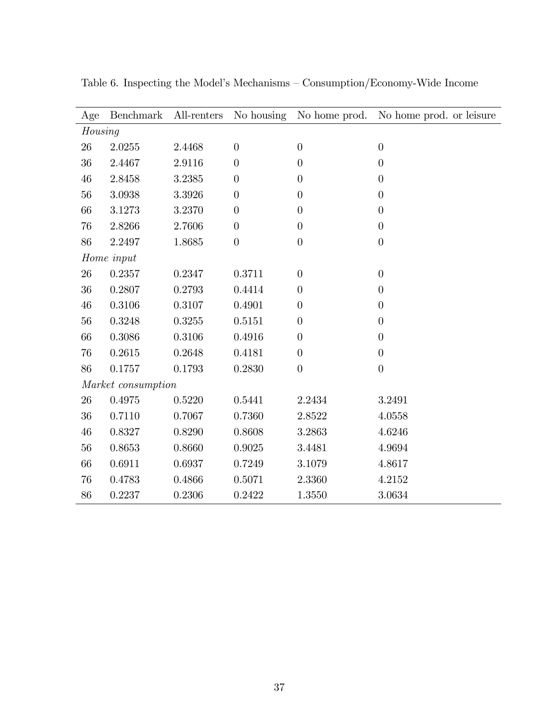| Age     | <b>Benchmark</b>   | All-renters | No housing       |                  | No home prod. No home prod. or leisure |  |  |
|---------|--------------------|-------------|------------------|------------------|----------------------------------------|--|--|
| Housing |                    |             |                  |                  |                                        |  |  |
| $26\,$  | 2.0255             | 2.4468      | $\boldsymbol{0}$ | $\boldsymbol{0}$ | $\overline{0}$                         |  |  |
| 36      | 2.4467             | 2.9116      | $\overline{0}$   | $\overline{0}$   | $\overline{0}$                         |  |  |
| 46      | 2.8458             | 3.2385      | $\boldsymbol{0}$ | $\overline{0}$   | $\overline{0}$                         |  |  |
| 56      | 3.0938             | 3.3926      | $\overline{0}$   | $\overline{0}$   | $\overline{0}$                         |  |  |
| 66      | 3.1273             | 3.2370      | $\boldsymbol{0}$ | $\overline{0}$   | $\overline{0}$                         |  |  |
| 76      | 2.8266             | 2.7606      | $\overline{0}$   | $\overline{0}$   | $\overline{0}$                         |  |  |
| 86      | 2.2497             | 1.8685      | $\boldsymbol{0}$ | $\overline{0}$   | $\overline{0}$                         |  |  |
|         | Home input         |             |                  |                  |                                        |  |  |
| 26      | 0.2357             | 0.2347      | 0.3711           | $\overline{0}$   | $\overline{0}$                         |  |  |
| 36      | 0.2807             | 0.2793      | 0.4414           | $\overline{0}$   | $\overline{0}$                         |  |  |
| 46      | 0.3106             | 0.3107      | 0.4901           | $\overline{0}$   | $\overline{0}$                         |  |  |
| 56      | 0.3248             | 0.3255      | 0.5151           | $\overline{0}$   | $\overline{0}$                         |  |  |
| 66      | 0.3086             | 0.3106      | 0.4916           | $\overline{0}$   | $\overline{0}$                         |  |  |
| 76      | 0.2615             | 0.2648      | 0.4181           | $\overline{0}$   | $\overline{0}$                         |  |  |
| 86      | 0.1757             | 0.1793      | 0.2830           | $\overline{0}$   | $\overline{0}$                         |  |  |
|         | Market consumption |             |                  |                  |                                        |  |  |
| $26\,$  | 0.4975             | 0.5220      | 0.5441           | 2.2434           | 3.2491                                 |  |  |
| $36\,$  | 0.7110             | 0.7067      | 0.7360           | 2.8522           | 4.0558                                 |  |  |
| 46      | 0.8327             | 0.8290      | 0.8608           | 3.2863           | 4.6246                                 |  |  |
| $56\,$  | 0.8653             | 0.8660      | 0.9025           | 3.4481           | 4.9694                                 |  |  |
| 66      | 0.6911             | 0.6937      | 0.7249           | 3.1079           | 4.8617                                 |  |  |
| 76      | 0.4783             | 0.4866      | 0.5071           | 2.3360           | 4.2152                                 |  |  |
| 86      | 0.2237             | 0.2306      | 0.2422           | 1.3550           | 3.0634                                 |  |  |

Table 6. Inspecting the Model's Mechanisms –  $\mbox{Consumption/Economy-Wide Income}$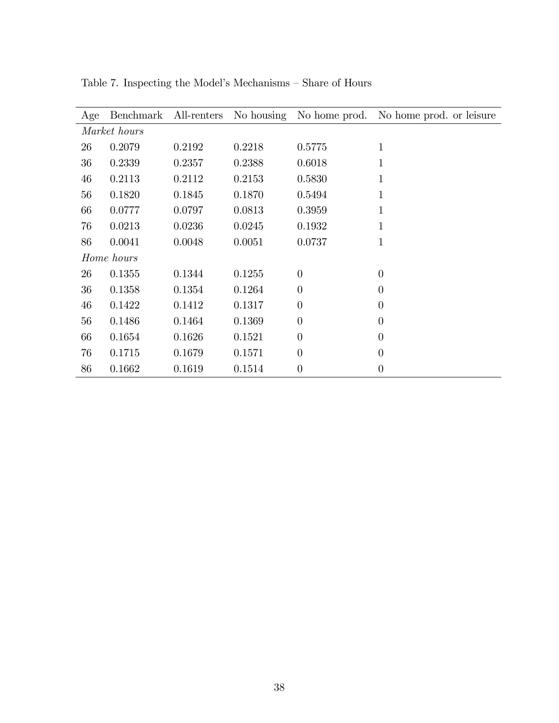|              | Age | Benchmark  | All-renters |        |                | No housing No home prod. No home prod. or leisure |  |
|--------------|-----|------------|-------------|--------|----------------|---------------------------------------------------|--|
| Market hours |     |            |             |        |                |                                                   |  |
|              | 26  | 0.2079     | 0.2192      | 0.2218 | 0.5775         | 1                                                 |  |
|              | 36  | 0.2339     | 0.2357      | 0.2388 | 0.6018         | 1                                                 |  |
|              | 46  | 0.2113     | 0.2112      | 0.2153 | 0.5830         | $\mathbf 1$                                       |  |
|              | 56  | 0.1820     | 0.1845      | 0.1870 | 0.5494         | $\mathbf 1$                                       |  |
|              | 66  | 0.0777     | 0.0797      | 0.0813 | 0.3959         | $\mathbf 1$                                       |  |
|              | 76  | 0.0213     | 0.0236      | 0.0245 | 0.1932         | 1                                                 |  |
|              | 86  | 0.0041     | 0.0048      | 0.0051 | 0.0737         | 1                                                 |  |
|              |     | Home hours |             |        |                |                                                   |  |
|              | 26  | 0.1355     | 0.1344      | 0.1255 | $\theta$       | $\overline{0}$                                    |  |
|              | 36  | 0.1358     | 0.1354      | 0.1264 | $\overline{0}$ | $\overline{0}$                                    |  |
|              | 46  | 0.1422     | 0.1412      | 0.1317 | $\overline{0}$ | $\overline{0}$                                    |  |
|              | 56  | 0.1486     | 0.1464      | 0.1369 | $\overline{0}$ | $\overline{0}$                                    |  |
|              | 66  | 0.1654     | 0.1626      | 0.1521 | $\overline{0}$ | $\overline{0}$                                    |  |
|              | 76  | 0.1715     | 0.1679      | 0.1571 | $\theta$       | $\overline{0}$                                    |  |
|              | 86  | 0.1662     | 0.1619      | 0.1514 | $\theta$       | $\theta$                                          |  |

Table 7. Inspecting the Model's Mechanisms – Share of Hours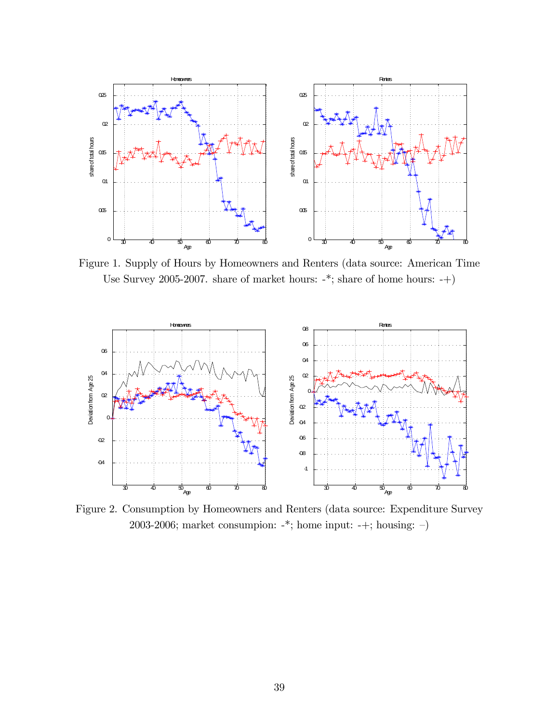

Figure 1. Supply of Hours by Homeowners and Renters (data source: American Time Use Survey 2005-2007. share of market hours: -\*; share of home hours: -+)



Figure 2. Consumption by Homeowners and Renters (data source: Expenditure Survey 2003-2006; market consumpion: -\*; home input: -+; housing: -)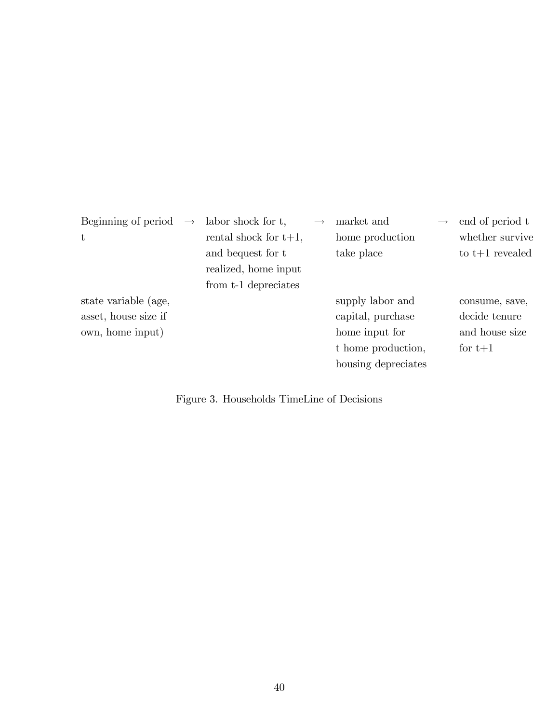| Beginning of period  | $\longrightarrow$ | labor shock for t,                        | market and          | $\longrightarrow$ | end of period t   |
|----------------------|-------------------|-------------------------------------------|---------------------|-------------------|-------------------|
| $\mathbf t$          |                   | rental shock for $t+1$ ,                  | home production     |                   | whether survive   |
|                      |                   | and bequest for t<br>realized, home input | take place          |                   | to $t+1$ revealed |
|                      |                   | from t-1 depreciates                      |                     |                   |                   |
| state variable (age, |                   |                                           | supply labor and    |                   | consume, save,    |
| asset, house size if |                   |                                           | capital, purchase   |                   | decide tenure     |
| own, home input)     |                   |                                           | home input for      |                   | and house size    |
|                      |                   |                                           | t home production,  |                   | for $t+1$         |
|                      |                   |                                           | housing depreciates |                   |                   |
|                      |                   |                                           |                     |                   |                   |

Figure 3. Households TimeLine of Decisions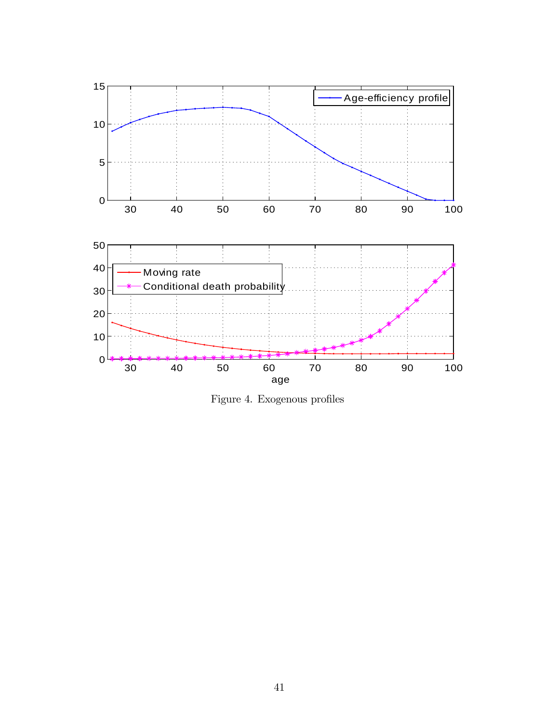

Figure 4. Exogenous profiles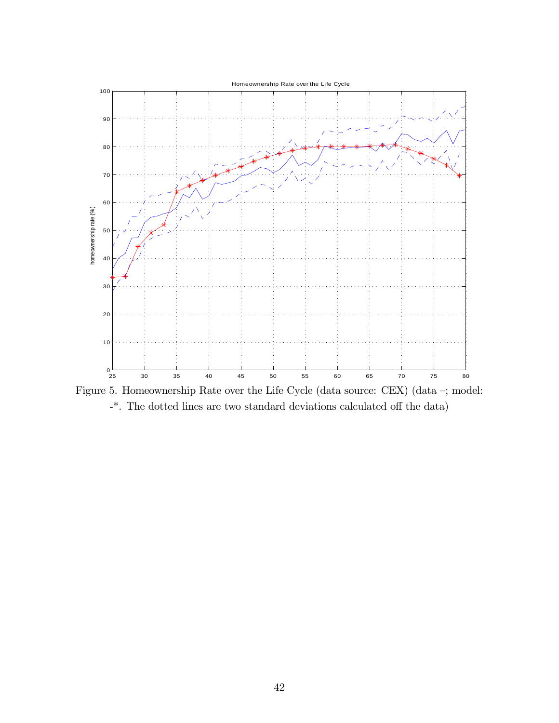

Figure 5. Homeownership Rate over the Life Cycle (data source: CEX) (data  $-$ ; model:  $-$ <sup>\*</sup>. The dotted lines are two standard deviations calculated off the data)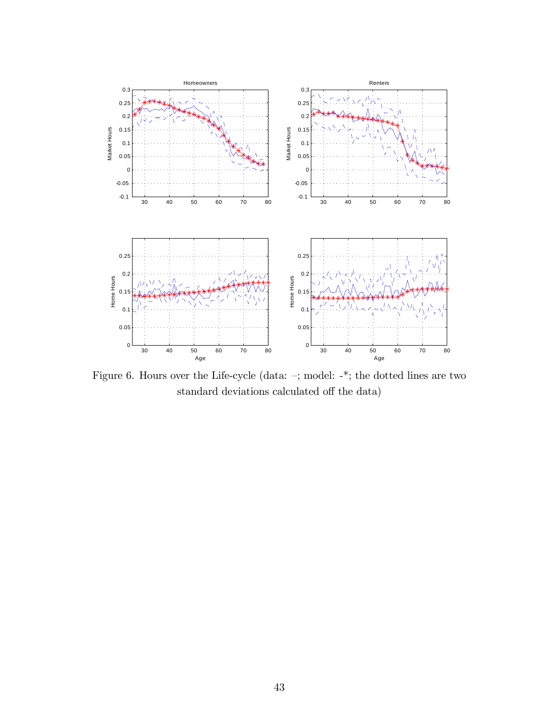

Figure 6. Hours over the Life-cycle (data:  $-$ ; model: -\*; the dotted lines are two standard deviations calculated off the data)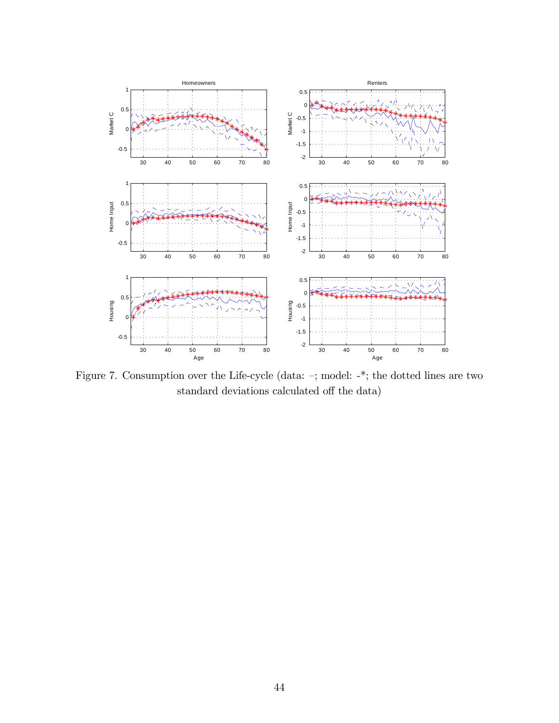

Figure 7. Consumption over the Life-cycle (data:  $-$ ; model:  $-$ <sup>\*</sup>; the dotted lines are two standard deviations calculated off the data)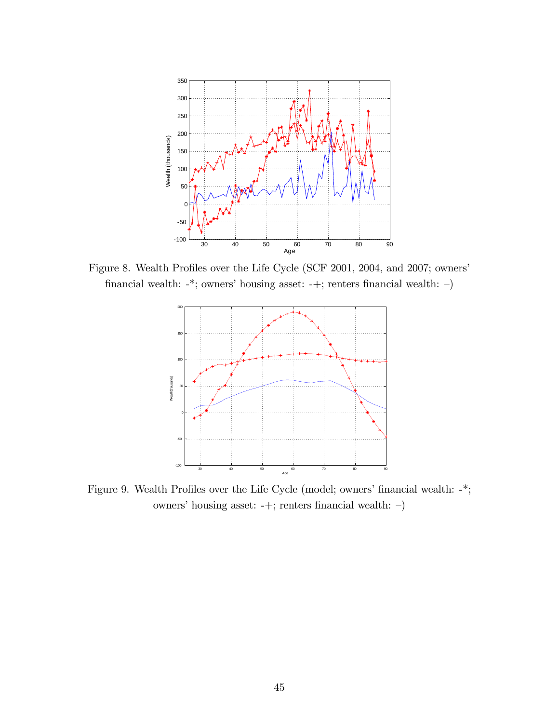

Figure 8. Wealth Profiles over the Life Cycle (SCF 2001, 2004, and 2007; owners' financial wealth: -\*; owners' housing asset: -+; renters financial wealth: -)



Figure 9. Wealth Profiles over the Life Cycle (model; owners' financial wealth:  $-$ \*; owners' housing asset: -+; renters financial wealth: -)